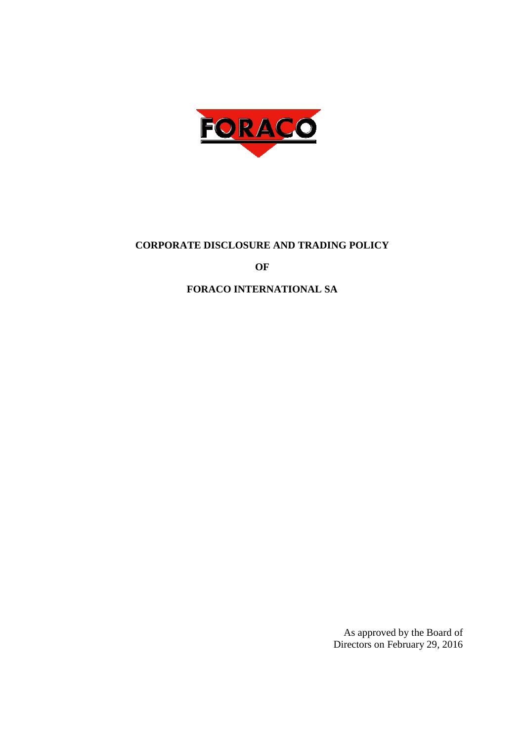

## **CORPORATE DISCLOSURE AND TRADING POLICY**

**OF** 

## **FORACO INTERNATIONAL SA**

As approved by the Board of Directors on February 29, 2016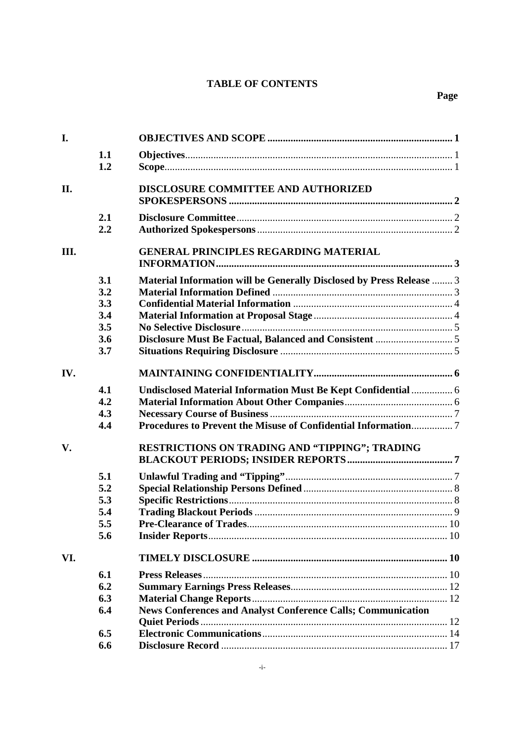## **TABLE OF CONTENTS**

| I.   |     |                                                                      |  |
|------|-----|----------------------------------------------------------------------|--|
|      | 1.1 |                                                                      |  |
|      | 1.2 |                                                                      |  |
| II.  |     | DISCLOSURE COMMITTEE AND AUTHORIZED                                  |  |
|      | 2.1 |                                                                      |  |
|      | 2.2 |                                                                      |  |
| III. |     | <b>GENERAL PRINCIPLES REGARDING MATERIAL</b>                         |  |
|      | 3.1 | Material Information will be Generally Disclosed by Press Release  3 |  |
|      | 3.2 |                                                                      |  |
|      | 3.3 |                                                                      |  |
|      | 3.4 |                                                                      |  |
|      | 3.5 |                                                                      |  |
|      | 3.6 |                                                                      |  |
|      | 3.7 |                                                                      |  |
| IV.  |     |                                                                      |  |
|      | 4.1 | Undisclosed Material Information Must Be Kept Confidential  6        |  |
|      | 4.2 |                                                                      |  |
|      | 4.3 |                                                                      |  |
|      | 4.4 |                                                                      |  |
| V.   |     | RESTRICTIONS ON TRADING AND "TIPPING"; TRADING                       |  |
|      | 5.1 |                                                                      |  |
|      | 5.2 |                                                                      |  |
|      | 5.3 |                                                                      |  |
|      | 5.4 |                                                                      |  |
|      | 5.5 |                                                                      |  |
|      | 5.6 |                                                                      |  |
| VI.  |     |                                                                      |  |
|      | 6.1 |                                                                      |  |
|      | 6.2 |                                                                      |  |
|      | 6.3 |                                                                      |  |
|      | 6.4 | <b>News Conferences and Analyst Conference Calls; Communication</b>  |  |
|      |     |                                                                      |  |
|      | 6.5 |                                                                      |  |
|      | 6.6 |                                                                      |  |
|      |     |                                                                      |  |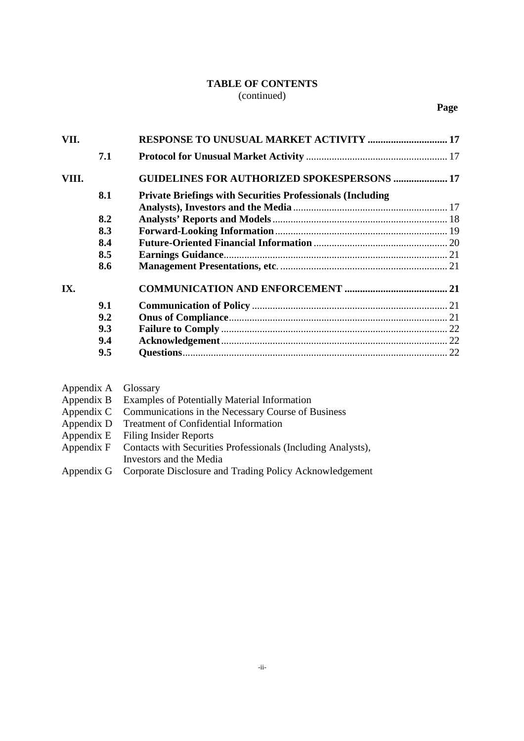## **TABLE OF CONTENTS** (continued)

|       | 7.1 |                                                                   |  |
|-------|-----|-------------------------------------------------------------------|--|
| VIII. |     | <b>GUIDELINES FOR AUTHORIZED SPOKESPERSONS  17</b>                |  |
|       | 8.1 | <b>Private Briefings with Securities Professionals (Including</b> |  |
|       |     |                                                                   |  |
|       | 8.2 |                                                                   |  |
|       | 8.3 |                                                                   |  |
|       | 8.4 |                                                                   |  |
|       | 8.5 |                                                                   |  |
|       | 8.6 |                                                                   |  |
| IX.   |     |                                                                   |  |
|       | 9.1 |                                                                   |  |
|       | 9.2 |                                                                   |  |
|       | 9.3 |                                                                   |  |
|       | 9.4 |                                                                   |  |
|       | 9.5 |                                                                   |  |
|       |     |                                                                   |  |

| Appendix A Glossary |                                                                         |
|---------------------|-------------------------------------------------------------------------|
|                     | Appendix B Examples of Potentially Material Information                 |
|                     | Appendix C Communications in the Necessary Course of Business           |
|                     | Appendix D Treatment of Confidential Information                        |
|                     | Appendix E Filing Insider Reports                                       |
|                     | Appendix F Contacts with Securities Professionals (Including Analysts), |
|                     | Investors and the Media                                                 |
|                     | Appardix G Corporate Disclosure and Trading Policy Acknowledgement      |

Appendix G Corporate Disclosure and Trading Policy Acknowledgement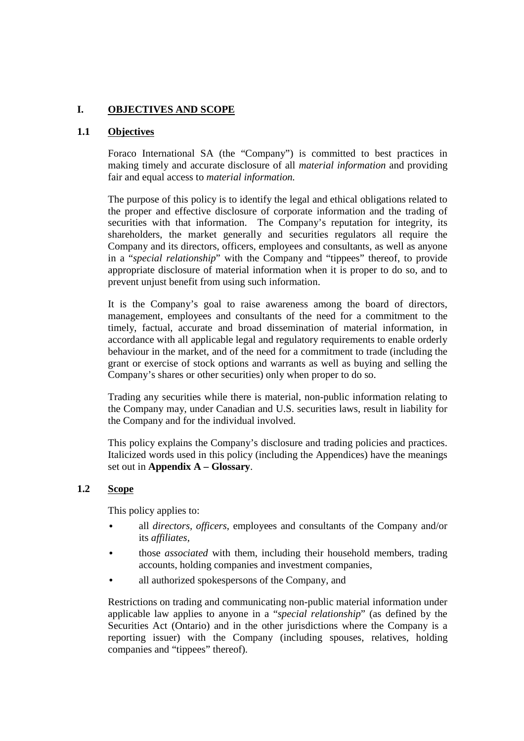## **I. OBJECTIVES AND SCOPE**

### **1.1 Objectives**

Foraco International SA (the "Company") is committed to best practices in making timely and accurate disclosure of all *material information* and providing fair and equal access to *material information.*

The purpose of this policy is to identify the legal and ethical obligations related to the proper and effective disclosure of corporate information and the trading of securities with that information. The Company's reputation for integrity, its shareholders, the market generally and securities regulators all require the Company and its directors, officers, employees and consultants, as well as anyone in a "*special relationship*" with the Company and "tippees" thereof, to provide appropriate disclosure of material information when it is proper to do so, and to prevent unjust benefit from using such information.

It is the Company's goal to raise awareness among the board of directors, management, employees and consultants of the need for a commitment to the timely, factual, accurate and broad dissemination of material information, in accordance with all applicable legal and regulatory requirements to enable orderly behaviour in the market, and of the need for a commitment to trade (including the grant or exercise of stock options and warrants as well as buying and selling the Company's shares or other securities) only when proper to do so.

Trading any securities while there is material, non-public information relating to the Company may, under Canadian and U.S. securities laws, result in liability for the Company and for the individual involved.

This policy explains the Company's disclosure and trading policies and practices. Italicized words used in this policy (including the Appendices) have the meanings set out in **Appendix A – Glossary**.

#### **1.2 Scope**

This policy applies to:

- all *directors, officers*, employees and consultants of the Company and/or its *affiliates,*
- those *associated* with them, including their household members, trading accounts, holding companies and investment companies,
- all authorized spokespersons of the Company, and

Restrictions on trading and communicating non-public material information under applicable law applies to anyone in a "*special relationship*" (as defined by the Securities Act (Ontario) and in the other jurisdictions where the Company is a reporting issuer) with the Company (including spouses, relatives, holding companies and "tippees" thereof).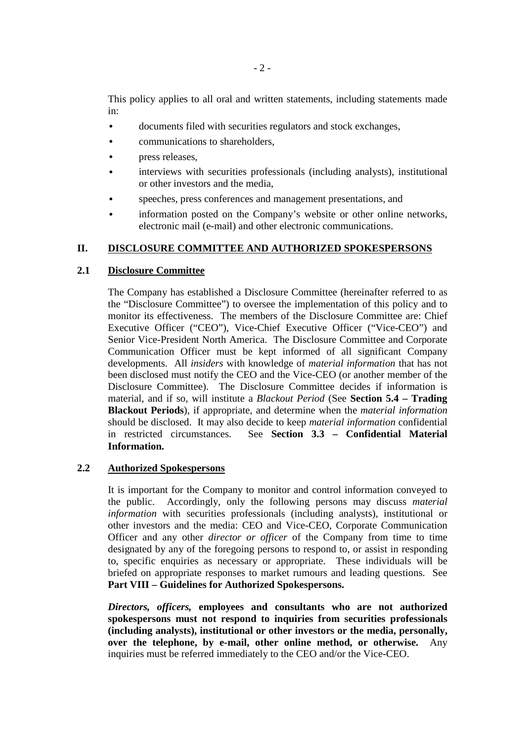This policy applies to all oral and written statements, including statements made in:

- documents filed with securities regulators and stock exchanges,
- communications to shareholders,
- press releases,
- interviews with securities professionals (including analysts), institutional or other investors and the media,
- speeches, press conferences and management presentations, and
- information posted on the Company's website or other online networks, electronic mail (e-mail) and other electronic communications.

## **II. DISCLOSURE COMMITTEE AND AUTHORIZED SPOKESPERSONS**

## **2.1 Disclosure Committee**

The Company has established a Disclosure Committee (hereinafter referred to as the "Disclosure Committee") to oversee the implementation of this policy and to monitor its effectiveness. The members of the Disclosure Committee are: Chief Executive Officer ("CEO"), Vice-Chief Executive Officer ("Vice-CEO") and Senior Vice-President North America. The Disclosure Committee and Corporate Communication Officer must be kept informed of all significant Company developments. All *insiders* with knowledge of *material information* that has not been disclosed must notify the CEO and the Vice-CEO (or another member of the Disclosure Committee). The Disclosure Committee decides if information is material, and if so, will institute a *Blackout Period* (See **Section 5.4 – Trading Blackout Periods**), if appropriate, and determine when the *material information* should be disclosed. It may also decide to keep *material information* confidential in restricted circumstances. See **Section 3.3 – Confidential Material Information.**

## **2.2 Authorized Spokespersons**

It is important for the Company to monitor and control information conveyed to the public. Accordingly, only the following persons may discuss *material information* with securities professionals (including analysts), institutional or other investors and the media: CEO and Vice-CEO, Corporate Communication Officer and any other *director or officer* of the Company from time to time designated by any of the foregoing persons to respond to, or assist in responding to, specific enquiries as necessary or appropriate. These individuals will be briefed on appropriate responses to market rumours and leading questions. See **Part VIII – Guidelines for Authorized Spokespersons.**

*Directors, officers,* **employees and consultants who are not authorized spokespersons must not respond to inquiries from securities professionals (including analysts), institutional or other investors or the media, personally, over the telephone, by e-mail, other online method, or otherwise.** Any inquiries must be referred immediately to the CEO and/or the Vice-CEO.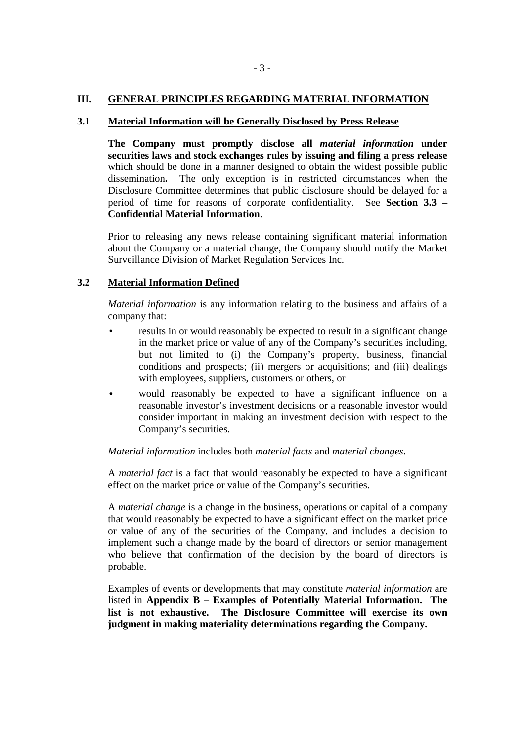#### **III. GENERAL PRINCIPLES REGARDING MATERIAL INFORMATION**

#### **3.1 Material Information will be Generally Disclosed by Press Release**

**The Company must promptly disclose all** *material information* **under securities laws and stock exchanges rules by issuing and filing a press release**  which should be done in a manner designed to obtain the widest possible public dissemination**.** The only exception is in restricted circumstances when the Disclosure Committee determines that public disclosure should be delayed for a period of time for reasons of corporate confidentiality. See **Section 3.3 – Confidential Material Information**.

Prior to releasing any news release containing significant material information about the Company or a material change, the Company should notify the Market Surveillance Division of Market Regulation Services Inc.

#### **3.2 Material Information Defined**

*Material information* is any information relating to the business and affairs of a company that:

- results in or would reasonably be expected to result in a significant change in the market price or value of any of the Company's securities including, but not limited to (i) the Company's property, business, financial conditions and prospects; (ii) mergers or acquisitions; and (iii) dealings with employees, suppliers, customers or others, or
- would reasonably be expected to have a significant influence on a reasonable investor's investment decisions or a reasonable investor would consider important in making an investment decision with respect to the Company's securities.

#### *Material information* includes both *material facts* and *material changes*.

A *material fact* is a fact that would reasonably be expected to have a significant effect on the market price or value of the Company's securities.

A *material change* is a change in the business, operations or capital of a company that would reasonably be expected to have a significant effect on the market price or value of any of the securities of the Company, and includes a decision to implement such a change made by the board of directors or senior management who believe that confirmation of the decision by the board of directors is probable.

Examples of events or developments that may constitute *material information* are listed in **Appendix B – Examples of Potentially Material Information. The list is not exhaustive. The Disclosure Committee will exercise its own judgment in making materiality determinations regarding the Company.**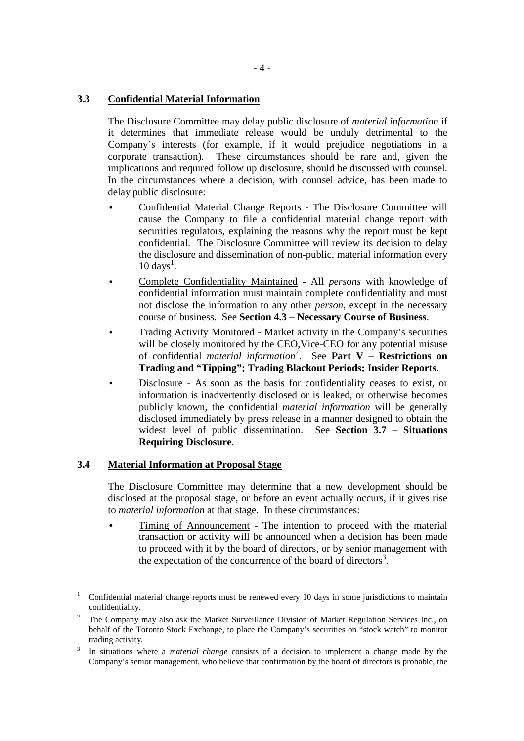## **3.3 Confidential Material Information**

The Disclosure Committee may delay public disclosure of *material information* if it determines that immediate release would be unduly detrimental to the Company's interests (for example, if it would prejudice negotiations in a corporate transaction). These circumstances should be rare and, given the implications and required follow up disclosure, should be discussed with counsel. In the circumstances where a decision, with counsel advice, has been made to delay public disclosure:

- Confidential Material Change Reports The Disclosure Committee will cause the Company to file a confidential material change report with securities regulators, explaining the reasons why the report must be kept confidential. The Disclosure Committee will review its decision to delay the disclosure and dissemination of non-public, material information every  $10 \text{ days}^1$ .
- Complete Confidentiality Maintained All *persons* with knowledge of confidential information must maintain complete confidentiality and must not disclose the information to any other *person*, except in the necessary course of business. See **Section 4.3 – Necessary Course of Business**.
- Trading Activity Monitored Market activity in the Company's securities will be closely monitored by the CEO,Vice-CEO for any potential misuse of confidential *material information*<sup>2</sup> . See **Part V – Restrictions on Trading and "Tipping"; Trading Blackout Periods; Insider Reports**.
- Disclosure As soon as the basis for confidentiality ceases to exist, or information is inadvertently disclosed or is leaked, or otherwise becomes publicly known, the confidential *material information* will be generally disclosed immediately by press release in a manner designed to obtain the widest level of public dissemination. See **Section 3.7 – Situations Requiring Disclosure**.

## **3.4 Material Information at Proposal Stage**

-

The Disclosure Committee may determine that a new development should be disclosed at the proposal stage, or before an event actually occurs, if it gives rise to *material information* at that stage. In these circumstances:

• Timing of Announcement - The intention to proceed with the material transaction or activity will be announced when a decision has been made to proceed with it by the board of directors, or by senior management with the expectation of the concurrence of the board of directors<sup>3</sup>.

<sup>1</sup> Confidential material change reports must be renewed every 10 days in some jurisdictions to maintain confidentiality.

<sup>2</sup> The Company may also ask the Market Surveillance Division of Market Regulation Services Inc., on behalf of the Toronto Stock Exchange, to place the Company's securities on "stock watch" to monitor trading activity.

<sup>3</sup> In situations where a *material change* consists of a decision to implement a change made by the Company's senior management, who believe that confirmation by the board of directors is probable, the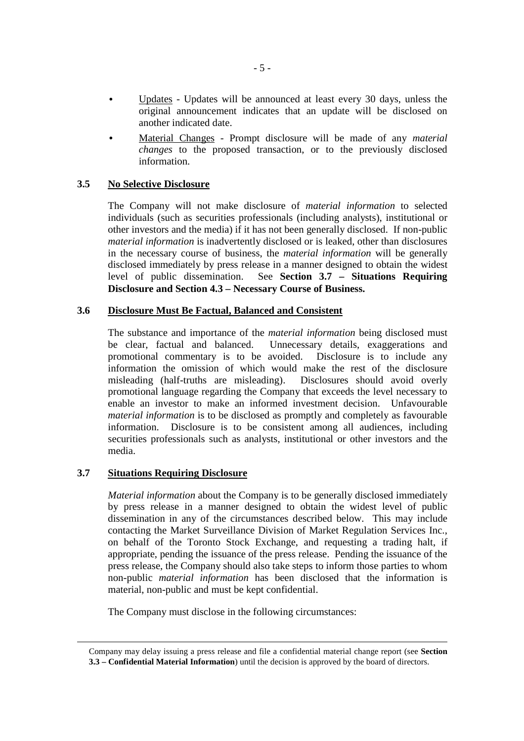- Updates Updates will be announced at least every 30 days, unless the original announcement indicates that an update will be disclosed on another indicated date.
- Material Changes Prompt disclosure will be made of any *material changes* to the proposed transaction, or to the previously disclosed information.

#### **3.5 No Selective Disclosure**

The Company will not make disclosure of *material information* to selected individuals (such as securities professionals (including analysts), institutional or other investors and the media) if it has not been generally disclosed. If non-public *material information* is inadvertently disclosed or is leaked, other than disclosures in the necessary course of business, the *material information* will be generally disclosed immediately by press release in a manner designed to obtain the widest level of public dissemination. See **Section 3.7 – Situations Requiring Disclosure and Section 4.3 – Necessary Course of Business.**

#### **3.6 Disclosure Must Be Factual, Balanced and Consistent**

The substance and importance of the *material information* being disclosed must be clear, factual and balanced. Unnecessary details, exaggerations and promotional commentary is to be avoided. Disclosure is to include any information the omission of which would make the rest of the disclosure misleading (half-truths are misleading). Disclosures should avoid overly promotional language regarding the Company that exceeds the level necessary to enable an investor to make an informed investment decision. Unfavourable *material information* is to be disclosed as promptly and completely as favourable information. Disclosure is to be consistent among all audiences, including securities professionals such as analysts, institutional or other investors and the media.

## **3.7 Situations Requiring Disclosure**

 $\overline{a}$ 

*Material information* about the Company is to be generally disclosed immediately by press release in a manner designed to obtain the widest level of public dissemination in any of the circumstances described below. This may include contacting the Market Surveillance Division of Market Regulation Services Inc., on behalf of the Toronto Stock Exchange, and requesting a trading halt, if appropriate, pending the issuance of the press release. Pending the issuance of the press release, the Company should also take steps to inform those parties to whom non-public *material information* has been disclosed that the information is material, non-public and must be kept confidential.

The Company must disclose in the following circumstances:

Company may delay issuing a press release and file a confidential material change report (see **Section 3.3 – Confidential Material Information**) until the decision is approved by the board of directors.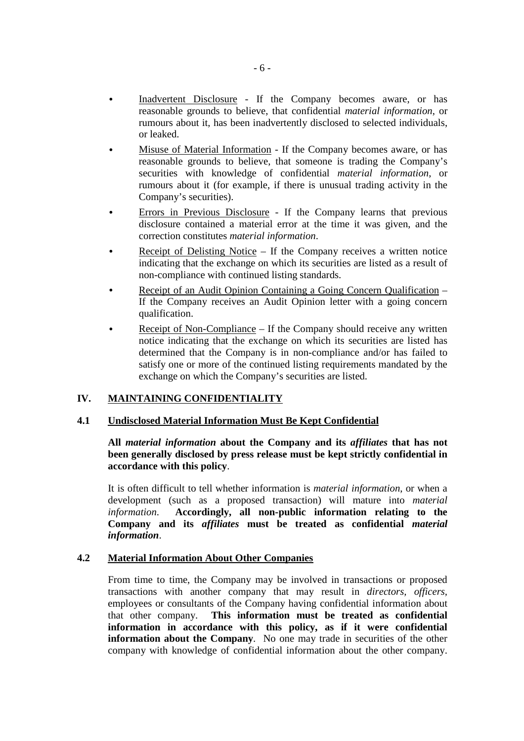- Inadvertent Disclosure If the Company becomes aware, or has reasonable grounds to believe, that confidential *material information*, or rumours about it, has been inadvertently disclosed to selected individuals, or leaked.
- Misuse of Material Information If the Company becomes aware, or has reasonable grounds to believe, that someone is trading the Company's securities with knowledge of confidential *material information*, or rumours about it (for example, if there is unusual trading activity in the Company's securities).
- Errors in Previous Disclosure If the Company learns that previous disclosure contained a material error at the time it was given, and the correction constitutes *material information*.
- Receipt of Delisting Notice  $-$  If the Company receives a written notice indicating that the exchange on which its securities are listed as a result of non-compliance with continued listing standards.
- Receipt of an Audit Opinion Containing a Going Concern Qualification If the Company receives an Audit Opinion letter with a going concern qualification.
- Receipt of Non-Compliance If the Company should receive any written notice indicating that the exchange on which its securities are listed has determined that the Company is in non-compliance and/or has failed to satisfy one or more of the continued listing requirements mandated by the exchange on which the Company's securities are listed.

## **IV. MAINTAINING CONFIDENTIALITY**

## **4.1 Undisclosed Material Information Must Be Kept Confidential**

**All** *material information* **about the Company and its** *affiliates* **that has not been generally disclosed by press release must be kept strictly confidential in accordance with this policy**.

It is often difficult to tell whether information is *material information*, or when a development (such as a proposed transaction) will mature into *material information*. **Accordingly, all non-public information relating to the Company and its** *affiliates* **must be treated as confidential** *material information*.

## **4.2 Material Information About Other Companies**

From time to time, the Company may be involved in transactions or proposed transactions with another company that may result in *directors, officers,*  employees or consultants of the Company having confidential information about that other company. **This information must be treated as confidential information in accordance with this policy, as if it were confidential information about the Company.** No one may trade in securities of the other company with knowledge of confidential information about the other company.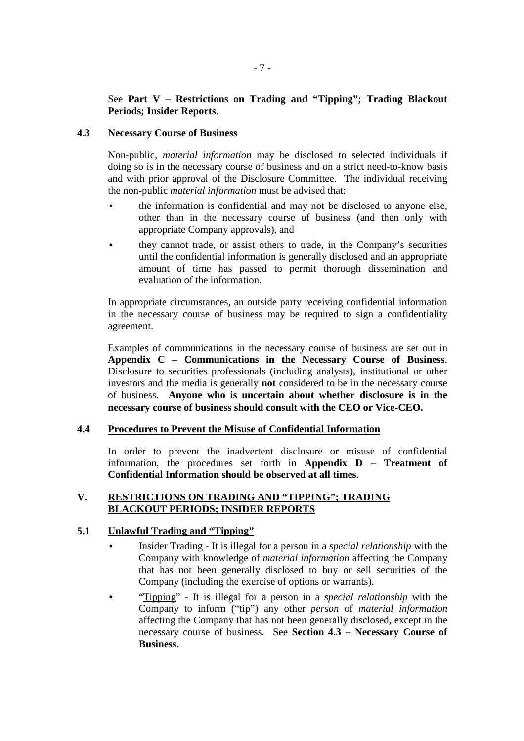## See **Part V – Restrictions on Trading and "Tipping"; Trading Blackout Periods; Insider Reports**.

## **4.3 Necessary Course of Business**

Non-public, *material information* may be disclosed to selected individuals if doing so is in the necessary course of business and on a strict need-to-know basis and with prior approval of the Disclosure Committee. The individual receiving the non-public *material information* must be advised that:

- the information is confidential and may not be disclosed to anyone else, other than in the necessary course of business (and then only with appropriate Company approvals), and
- they cannot trade, or assist others to trade, in the Company's securities until the confidential information is generally disclosed and an appropriate amount of time has passed to permit thorough dissemination and evaluation of the information.

In appropriate circumstances, an outside party receiving confidential information in the necessary course of business may be required to sign a confidentiality agreement.

Examples of communications in the necessary course of business are set out in **Appendix C – Communications in the Necessary Course of Business**. Disclosure to securities professionals (including analysts), institutional or other investors and the media is generally **not** considered to be in the necessary course of business. **Anyone who is uncertain about whether disclosure is in the necessary course of business should consult with the CEO or Vice-CEO.**

#### **4.4 Procedures to Prevent the Misuse of Confidential Information**

In order to prevent the inadvertent disclosure or misuse of confidential information, the procedures set forth in **Appendix D – Treatment of Confidential Information should be observed at all times**.

## **V. RESTRICTIONS ON TRADING AND "TIPPING"; TRADING BLACKOUT PERIODS; INSIDER REPORTS**

## **5.1 Unlawful Trading and "Tipping"**

- Insider Trading It is illegal for a person in a *special relationship* with the Company with knowledge of *material information* affecting the Company that has not been generally disclosed to buy or sell securities of the Company (including the exercise of options or warrants).
- "Tipping" It is illegal for a person in a *special relationship* with the Company to inform ("tip") any other *person* of *material information* affecting the Company that has not been generally disclosed, except in the necessary course of business. See **Section 4.3 – Necessary Course of Business**.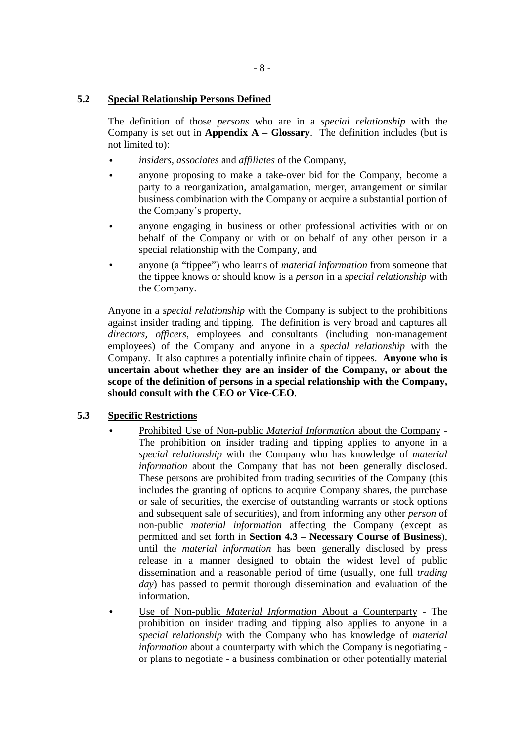## **5.2 Special Relationship Persons Defined**

The definition of those *persons* who are in a *special relationship* with the Company is set out in **Appendix A – Glossary**. The definition includes (but is not limited to):

- *insiders, associates* and *affiliates* of the Company,
- anyone proposing to make a take-over bid for the Company, become a party to a reorganization, amalgamation, merger, arrangement or similar business combination with the Company or acquire a substantial portion of the Company's property,
- anyone engaging in business or other professional activities with or on behalf of the Company or with or on behalf of any other person in a special relationship with the Company, and
- anyone (a "tippee") who learns of *material information* from someone that the tippee knows or should know is a *person* in a *special relationship* with the Company.

Anyone in a *special relationship* with the Company is subject to the prohibitions against insider trading and tipping. The definition is very broad and captures all *directors, officers,* employees and consultants (including non-management employees) of the Company and anyone in a *special relationship* with the Company. It also captures a potentially infinite chain of tippees. **Anyone who is uncertain about whether they are an insider of the Company, or about the scope of the definition of persons in a special relationship with the Company, should consult with the CEO or Vice-CEO**.

## **5.3 Specific Restrictions**

- Prohibited Use of Non-public *Material Information* about the Company The prohibition on insider trading and tipping applies to anyone in a *special relationship* with the Company who has knowledge of *material information* about the Company that has not been generally disclosed. These persons are prohibited from trading securities of the Company (this includes the granting of options to acquire Company shares, the purchase or sale of securities, the exercise of outstanding warrants or stock options and subsequent sale of securities), and from informing any other *person* of non-public *material information* affecting the Company (except as permitted and set forth in **Section 4.3 – Necessary Course of Business**), until the *material information* has been generally disclosed by press release in a manner designed to obtain the widest level of public dissemination and a reasonable period of time (usually, one full *trading day*) has passed to permit thorough dissemination and evaluation of the information.
- Use of Non-public *Material Information* About a Counterparty The prohibition on insider trading and tipping also applies to anyone in a *special relationship* with the Company who has knowledge of *material information* about a counterparty with which the Company is negotiating or plans to negotiate - a business combination or other potentially material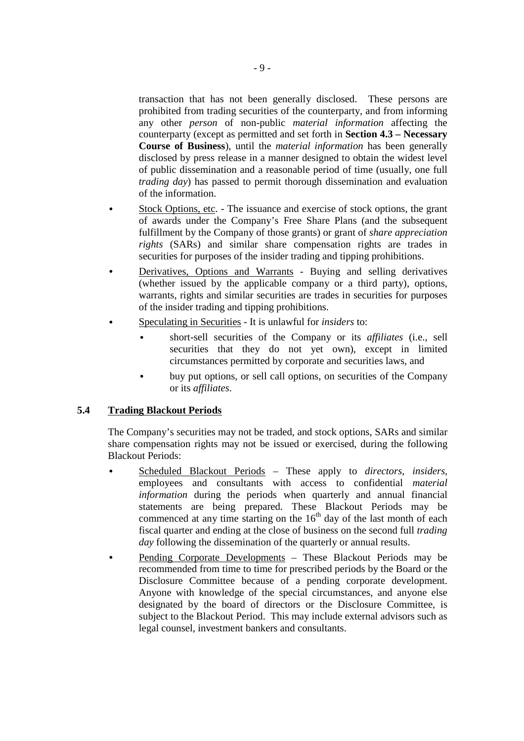transaction that has not been generally disclosed. These persons are prohibited from trading securities of the counterparty, and from informing any other *person* of non-public *material information* affecting the counterparty (except as permitted and set forth in **Section 4.3 – Necessary Course of Business**), until the *material information* has been generally disclosed by press release in a manner designed to obtain the widest level of public dissemination and a reasonable period of time (usually, one full *trading day*) has passed to permit thorough dissemination and evaluation of the information.

- Stock Options, etc. The issuance and exercise of stock options, the grant of awards under the Company's Free Share Plans (and the subsequent fulfillment by the Company of those grants) or grant of *share appreciation rights* (SARs) and similar share compensation rights are trades in securities for purposes of the insider trading and tipping prohibitions.
- Derivatives, Options and Warrants Buying and selling derivatives (whether issued by the applicable company or a third party), options, warrants, rights and similar securities are trades in securities for purposes of the insider trading and tipping prohibitions.
- Speculating in Securities It is unlawful for *insiders* to:
	- short-sell securities of the Company or its *affiliates* (i.e., sell securities that they do not yet own), except in limited circumstances permitted by corporate and securities laws, and
	- buy put options, or sell call options, on securities of the Company or its *affiliates*.

## **5.4 Trading Blackout Periods**

The Company's securities may not be traded, and stock options, SARs and similar share compensation rights may not be issued or exercised, during the following Blackout Periods:

- Scheduled Blackout Periods These apply to *directors, insiders,*  employees and consultants with access to confidential *material information* during the periods when quarterly and annual financial statements are being prepared. These Blackout Periods may be commenced at any time starting on the  $16<sup>th</sup>$  day of the last month of each fiscal quarter and ending at the close of business on the second full *trading day* following the dissemination of the quarterly or annual results.
- Pending Corporate Developments These Blackout Periods may be recommended from time to time for prescribed periods by the Board or the Disclosure Committee because of a pending corporate development. Anyone with knowledge of the special circumstances, and anyone else designated by the board of directors or the Disclosure Committee, is subject to the Blackout Period. This may include external advisors such as legal counsel, investment bankers and consultants.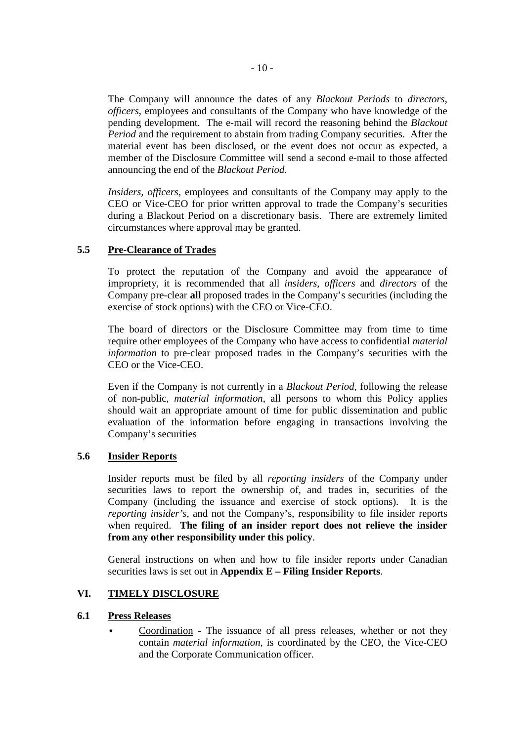The Company will announce the dates of any *Blackout Periods* to *directors*, *officers*, employees and consultants of the Company who have knowledge of the pending development. The e-mail will record the reasoning behind the *Blackout Period* and the requirement to abstain from trading Company securities. After the material event has been disclosed, or the event does not occur as expected, a member of the Disclosure Committee will send a second e-mail to those affected announcing the end of the *Blackout Period*.

*Insiders, officers,* employees and consultants of the Company may apply to the CEO or Vice-CEO for prior written approval to trade the Company's securities during a Blackout Period on a discretionary basis. There are extremely limited circumstances where approval may be granted.

## **5.5 Pre-Clearance of Trades**

To protect the reputation of the Company and avoid the appearance of impropriety, it is recommended that all *insiders, officers* and *directors* of the Company pre-clear **all** proposed trades in the Company's securities (including the exercise of stock options) with the CEO or Vice-CEO.

The board of directors or the Disclosure Committee may from time to time require other employees of the Company who have access to confidential *material information* to pre-clear proposed trades in the Company's securities with the CEO or the Vice-CEO.

Even if the Company is not currently in a *Blackout Period*, following the release of non-public, *material information*, all persons to whom this Policy applies should wait an appropriate amount of time for public dissemination and public evaluation of the information before engaging in transactions involving the Company's securities

## **5.6 Insider Reports**

Insider reports must be filed by all *reporting insiders* of the Company under securities laws to report the ownership of, and trades in, securities of the Company (including the issuance and exercise of stock options). It is the *reporting insider's*, and not the Company's, responsibility to file insider reports when required. **The filing of an insider report does not relieve the insider from any other responsibility under this policy**.

General instructions on when and how to file insider reports under Canadian securities laws is set out in **Appendix E – Filing Insider Reports**.

## **VI. TIMELY DISCLOSURE**

## **6.1 Press Releases**

• Coordination - The issuance of all press releases, whether or not they contain *material information*, is coordinated by the CEO, the Vice-CEO and the Corporate Communication officer.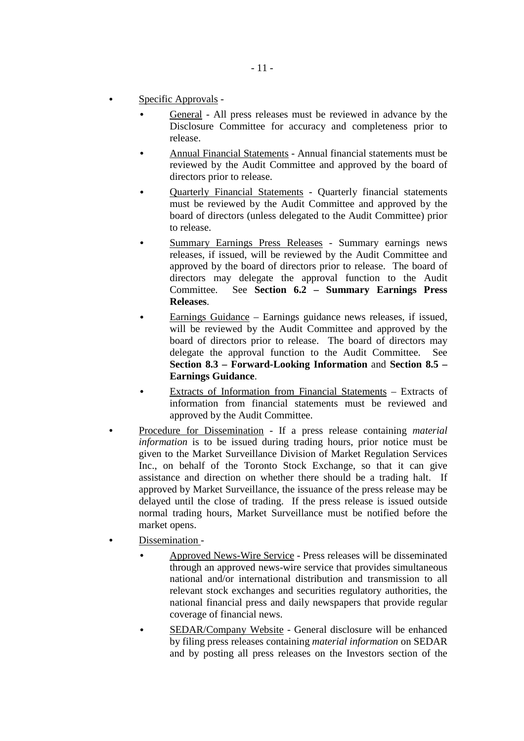- Specific Approvals
	- General All press releases must be reviewed in advance by the Disclosure Committee for accuracy and completeness prior to release.
	- Annual Financial Statements Annual financial statements must be reviewed by the Audit Committee and approved by the board of directors prior to release.
	- Quarterly Financial Statements Quarterly financial statements must be reviewed by the Audit Committee and approved by the board of directors (unless delegated to the Audit Committee) prior to release.
	- Summary Earnings Press Releases Summary earnings news releases, if issued, will be reviewed by the Audit Committee and approved by the board of directors prior to release. The board of directors may delegate the approval function to the Audit Committee. See **Section 6.2 – Summary Earnings Press Releases**.
	- Earnings Guidance Earnings guidance news releases, if issued, will be reviewed by the Audit Committee and approved by the board of directors prior to release. The board of directors may delegate the approval function to the Audit Committee. See **Section 8.3 – Forward-Looking Information** and **Section 8.5 – Earnings Guidance**.
	- Extracts of Information from Financial Statements Extracts of information from financial statements must be reviewed and approved by the Audit Committee.
- Procedure for Dissemination If a press release containing *material information* is to be issued during trading hours, prior notice must be given to the Market Surveillance Division of Market Regulation Services Inc., on behalf of the Toronto Stock Exchange, so that it can give assistance and direction on whether there should be a trading halt. If approved by Market Surveillance, the issuance of the press release may be delayed until the close of trading. If the press release is issued outside normal trading hours, Market Surveillance must be notified before the market opens.
- Dissemination
	- Approved News-Wire Service Press releases will be disseminated through an approved news-wire service that provides simultaneous national and/or international distribution and transmission to all relevant stock exchanges and securities regulatory authorities, the national financial press and daily newspapers that provide regular coverage of financial news.
	- SEDAR/Company Website General disclosure will be enhanced by filing press releases containing *material information* on SEDAR and by posting all press releases on the Investors section of the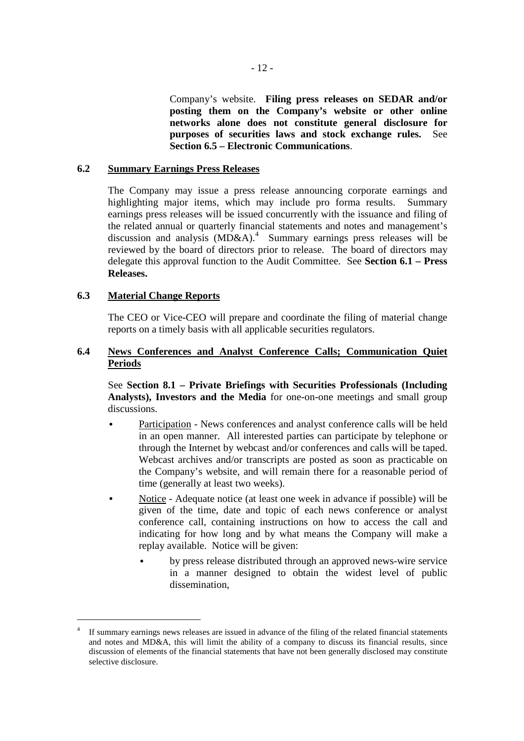Company's website. **Filing press releases on SEDAR and/or posting them on the Company's website or other online networks alone does not constitute general disclosure for purposes of securities laws and stock exchange rules.** See **Section 6.5 – Electronic Communications**.

#### **6.2 Summary Earnings Press Releases**

The Company may issue a press release announcing corporate earnings and highlighting major items, which may include pro forma results. Summary earnings press releases will be issued concurrently with the issuance and filing of the related annual or quarterly financial statements and notes and management's discussion and analysis  $(MD&A)^4$  Summary earnings press releases will be reviewed by the board of directors prior to release. The board of directors may delegate this approval function to the Audit Committee. See **Section 6.1 – Press Releases.**

## **6.3 Material Change Reports**

-

The CEO or Vice-CEO will prepare and coordinate the filing of material change reports on a timely basis with all applicable securities regulators.

## **6.4 News Conferences and Analyst Conference Calls; Communication Quiet Periods**

See **Section 8.1 – Private Briefings with Securities Professionals (Including Analysts), Investors and the Media** for one-on-one meetings and small group discussions.

- Participation News conferences and analyst conference calls will be held in an open manner. All interested parties can participate by telephone or through the Internet by webcast and/or conferences and calls will be taped. Webcast archives and/or transcripts are posted as soon as practicable on the Company's website, and will remain there for a reasonable period of time (generally at least two weeks).
- Notice Adequate notice (at least one week in advance if possible) will be given of the time, date and topic of each news conference or analyst conference call, containing instructions on how to access the call and indicating for how long and by what means the Company will make a replay available. Notice will be given:
	- by press release distributed through an approved news-wire service in a manner designed to obtain the widest level of public dissemination,

<sup>4</sup> If summary earnings news releases are issued in advance of the filing of the related financial statements and notes and MD&A, this will limit the ability of a company to discuss its financial results, since discussion of elements of the financial statements that have not been generally disclosed may constitute selective disclosure.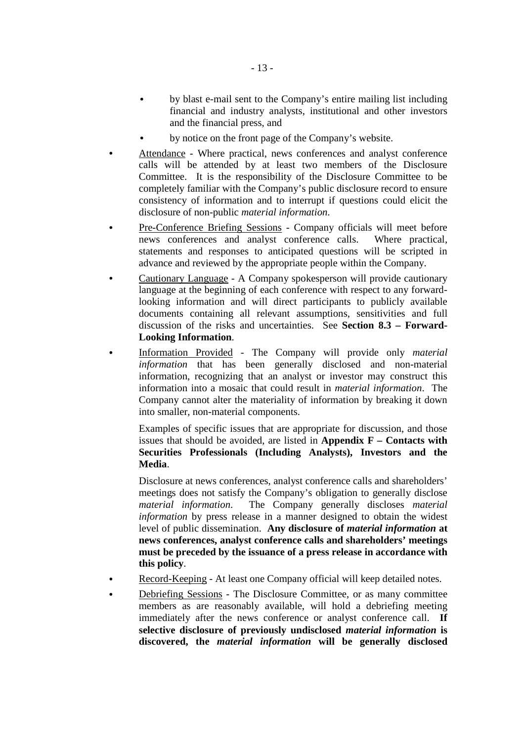- by blast e-mail sent to the Company's entire mailing list including financial and industry analysts, institutional and other investors and the financial press, and
- by notice on the front page of the Company's website.
- Attendance Where practical, news conferences and analyst conference calls will be attended by at least two members of the Disclosure Committee. It is the responsibility of the Disclosure Committee to be completely familiar with the Company's public disclosure record to ensure consistency of information and to interrupt if questions could elicit the disclosure of non-public *material information*.
- Pre-Conference Briefing Sessions Company officials will meet before news conferences and analyst conference calls. Where practical, statements and responses to anticipated questions will be scripted in advance and reviewed by the appropriate people within the Company.
- Cautionary Language A Company spokesperson will provide cautionary language at the beginning of each conference with respect to any forwardlooking information and will direct participants to publicly available documents containing all relevant assumptions, sensitivities and full discussion of the risks and uncertainties. See **Section 8.3 – Forward-Looking Information**.
- Information Provided The Company will provide only *material information* that has been generally disclosed and non-material information, recognizing that an analyst or investor may construct this information into a mosaic that could result in *material information*. The Company cannot alter the materiality of information by breaking it down into smaller, non-material components.

Examples of specific issues that are appropriate for discussion, and those issues that should be avoided, are listed in **Appendix F – Contacts with Securities Professionals (Including Analysts), Investors and the Media**.

Disclosure at news conferences, analyst conference calls and shareholders' meetings does not satisfy the Company's obligation to generally disclose *material information*. The Company generally discloses *material information* by press release in a manner designed to obtain the widest level of public dissemination. **Any disclosure of** *material information* **at news conferences, analyst conference calls and shareholders' meetings must be preceded by the issuance of a press release in accordance with this policy**.

- Record-Keeping At least one Company official will keep detailed notes.
- Debriefing Sessions The Disclosure Committee, or as many committee members as are reasonably available, will hold a debriefing meeting immediately after the news conference or analyst conference call. **If selective disclosure of previously undisclosed** *material information* **is discovered, the** *material information* **will be generally disclosed**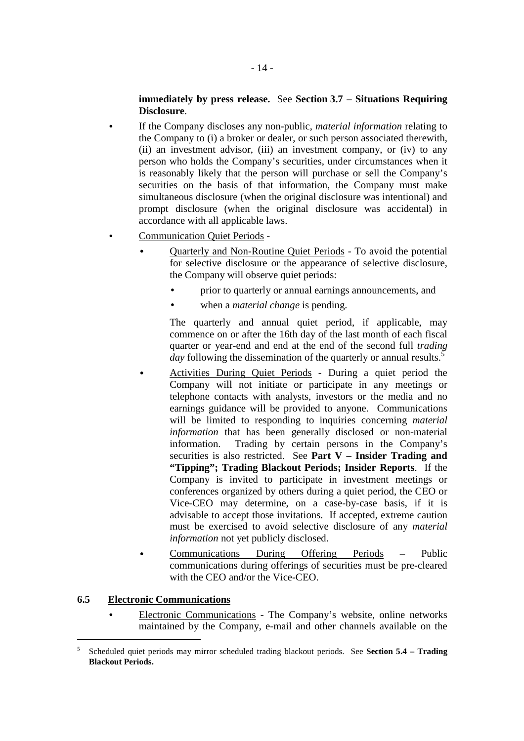## **immediately by press release.** See **Section 3.7 – Situations Requiring Disclosure**.

- If the Company discloses any non-public, *material information* relating to the Company to (i) a broker or dealer, or such person associated therewith, (ii) an investment advisor, (iii) an investment company, or (iv) to any person who holds the Company's securities, under circumstances when it is reasonably likely that the person will purchase or sell the Company's securities on the basis of that information, the Company must make simultaneous disclosure (when the original disclosure was intentional) and prompt disclosure (when the original disclosure was accidental) in accordance with all applicable laws.
- Communication Quiet Periods
	- Quarterly and Non-Routine Quiet Periods To avoid the potential for selective disclosure or the appearance of selective disclosure, the Company will observe quiet periods:
		- prior to quarterly or annual earnings announcements, and
		- when a *material change* is pending.

The quarterly and annual quiet period, if applicable, may commence on or after the 16th day of the last month of each fiscal quarter or year-end and end at the end of the second full *trading*   $\dot{d}$ ay following the dissemination of the quarterly or annual results.<sup>5</sup>

- Activities During Quiet Periods During a quiet period the Company will not initiate or participate in any meetings or telephone contacts with analysts, investors or the media and no earnings guidance will be provided to anyone. Communications will be limited to responding to inquiries concerning *material information* that has been generally disclosed or non-material information. Trading by certain persons in the Company's securities is also restricted. See **Part V – Insider Trading and "Tipping"; Trading Blackout Periods; Insider Reports**. If the Company is invited to participate in investment meetings or conferences organized by others during a quiet period, the CEO or Vice-CEO may determine, on a case-by-case basis, if it is advisable to accept those invitations. If accepted, extreme caution must be exercised to avoid selective disclosure of any *material information* not yet publicly disclosed.
- Communications During Offering Periods Public communications during offerings of securities must be pre-cleared with the CEO and/or the Vice-CEO.

## **6.5 Electronic Communications**

-

• Electronic Communications - The Company's website, online networks maintained by the Company, e-mail and other channels available on the

<sup>5</sup> Scheduled quiet periods may mirror scheduled trading blackout periods. See **Section 5.4 – Trading Blackout Periods.**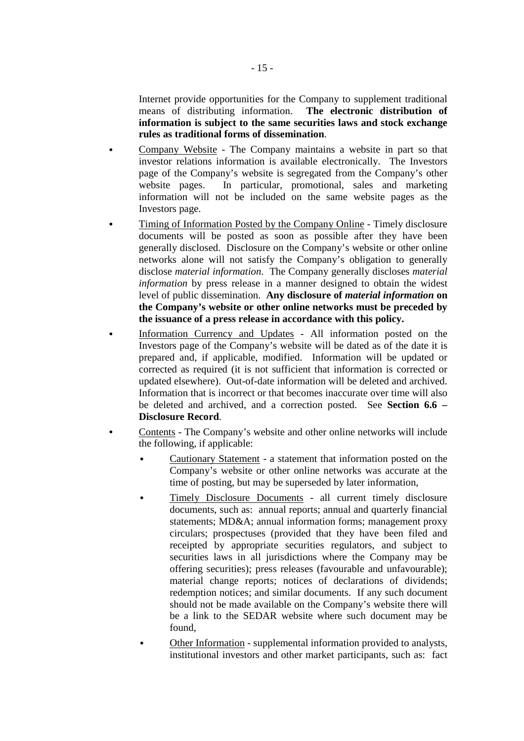Internet provide opportunities for the Company to supplement traditional means of distributing information. **The electronic distribution of information is subject to the same securities laws and stock exchange rules as traditional forms of dissemination**.

- Company Website The Company maintains a website in part so that investor relations information is available electronically. The Investors page of the Company's website is segregated from the Company's other website pages. In particular, promotional, sales and marketing information will not be included on the same website pages as the Investors page.
- Timing of Information Posted by the Company Online Timely disclosure documents will be posted as soon as possible after they have been generally disclosed. Disclosure on the Company's website or other online networks alone will not satisfy the Company's obligation to generally disclose *material information*. The Company generally discloses *material information* by press release in a manner designed to obtain the widest level of public dissemination. **Any disclosure of** *material information* **on the Company's website or other online networks must be preceded by the issuance of a press release in accordance with this policy.**
- Information Currency and Updates All information posted on the Investors page of the Company's website will be dated as of the date it is prepared and, if applicable, modified. Information will be updated or corrected as required (it is not sufficient that information is corrected or updated elsewhere). Out-of-date information will be deleted and archived. Information that is incorrect or that becomes inaccurate over time will also be deleted and archived, and a correction posted. See **Section 6.6 – Disclosure Record**.
- Contents The Company's website and other online networks will include the following, if applicable:
	- Cautionary Statement a statement that information posted on the Company's website or other online networks was accurate at the time of posting, but may be superseded by later information,
	- Timely Disclosure Documents all current timely disclosure documents, such as: annual reports; annual and quarterly financial statements; MD&A; annual information forms; management proxy circulars; prospectuses (provided that they have been filed and receipted by appropriate securities regulators, and subject to securities laws in all jurisdictions where the Company may be offering securities); press releases (favourable and unfavourable); material change reports; notices of declarations of dividends; redemption notices; and similar documents. If any such document should not be made available on the Company's website there will be a link to the SEDAR website where such document may be found,
	- Other Information supplemental information provided to analysts, institutional investors and other market participants, such as: fact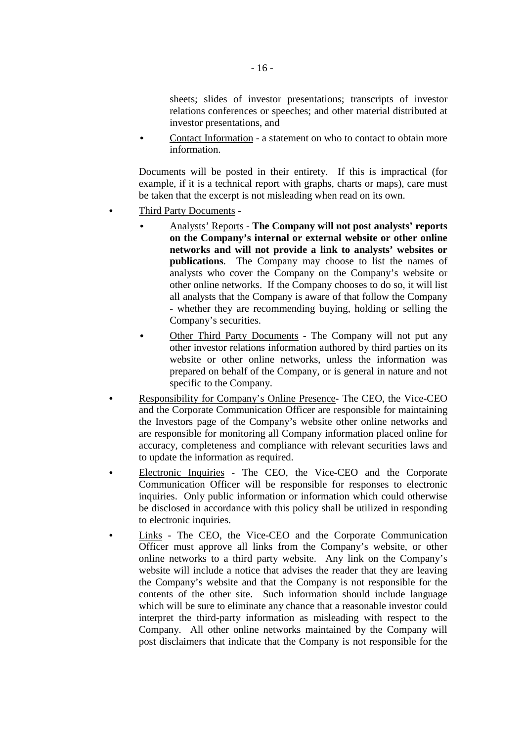sheets; slides of investor presentations; transcripts of investor relations conferences or speeches; and other material distributed at investor presentations, and

• Contact Information - a statement on who to contact to obtain more information.

Documents will be posted in their entirety. If this is impractical (for example, if it is a technical report with graphs, charts or maps), care must be taken that the excerpt is not misleading when read on its own.

- Third Party Documents
	- Analysts' Reports **The Company will not post analysts' reports on the Company's internal or external website or other online networks and will not provide a link to analysts' websites or publications**. The Company may choose to list the names of analysts who cover the Company on the Company's website or other online networks. If the Company chooses to do so, it will list all analysts that the Company is aware of that follow the Company - whether they are recommending buying, holding or selling the Company's securities.
	- Other Third Party Documents The Company will not put any other investor relations information authored by third parties on its website or other online networks, unless the information was prepared on behalf of the Company, or is general in nature and not specific to the Company.
- Responsibility for Company's Online Presence- The CEO, the Vice-CEO and the Corporate Communication Officer are responsible for maintaining the Investors page of the Company's website other online networks and are responsible for monitoring all Company information placed online for accuracy, completeness and compliance with relevant securities laws and to update the information as required.
- Electronic Inquiries The CEO, the Vice-CEO and the Corporate Communication Officer will be responsible for responses to electronic inquiries. Only public information or information which could otherwise be disclosed in accordance with this policy shall be utilized in responding to electronic inquiries.
- Links The CEO, the Vice-CEO and the Corporate Communication Officer must approve all links from the Company's website, or other online networks to a third party website. Any link on the Company's website will include a notice that advises the reader that they are leaving the Company's website and that the Company is not responsible for the contents of the other site. Such information should include language which will be sure to eliminate any chance that a reasonable investor could interpret the third-party information as misleading with respect to the Company. All other online networks maintained by the Company will post disclaimers that indicate that the Company is not responsible for the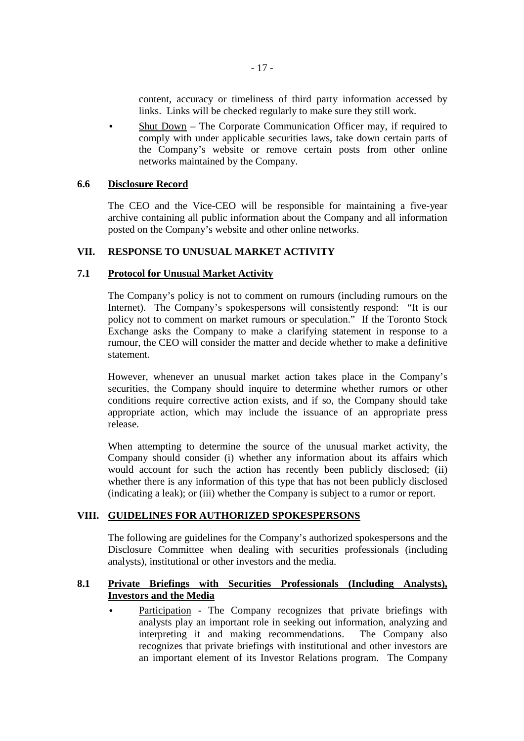content, accuracy or timeliness of third party information accessed by links. Links will be checked regularly to make sure they still work.

• Shut Down – The Corporate Communication Officer may, if required to comply with under applicable securities laws, take down certain parts of the Company's website or remove certain posts from other online networks maintained by the Company.

#### **6.6 Disclosure Record**

The CEO and the Vice-CEO will be responsible for maintaining a five-year archive containing all public information about the Company and all information posted on the Company's website and other online networks.

## **VII. RESPONSE TO UNUSUAL MARKET ACTIVITY**

#### **7.1 Protocol for Unusual Market Activity**

The Company's policy is not to comment on rumours (including rumours on the Internet). The Company's spokespersons will consistently respond: "It is our policy not to comment on market rumours or speculation." If the Toronto Stock Exchange asks the Company to make a clarifying statement in response to a rumour, the CEO will consider the matter and decide whether to make a definitive statement.

However, whenever an unusual market action takes place in the Company's securities, the Company should inquire to determine whether rumors or other conditions require corrective action exists, and if so, the Company should take appropriate action, which may include the issuance of an appropriate press release.

When attempting to determine the source of the unusual market activity, the Company should consider (i) whether any information about its affairs which would account for such the action has recently been publicly disclosed; (ii) whether there is any information of this type that has not been publicly disclosed (indicating a leak); or (iii) whether the Company is subject to a rumor or report.

#### **VIII. GUIDELINES FOR AUTHORIZED SPOKESPERSONS**

The following are guidelines for the Company's authorized spokespersons and the Disclosure Committee when dealing with securities professionals (including analysts), institutional or other investors and the media.

## **8.1 Private Briefings with Securities Professionals (Including Analysts), Investors and the Media**

Participation - The Company recognizes that private briefings with analysts play an important role in seeking out information, analyzing and interpreting it and making recommendations. The Company also recognizes that private briefings with institutional and other investors are an important element of its Investor Relations program. The Company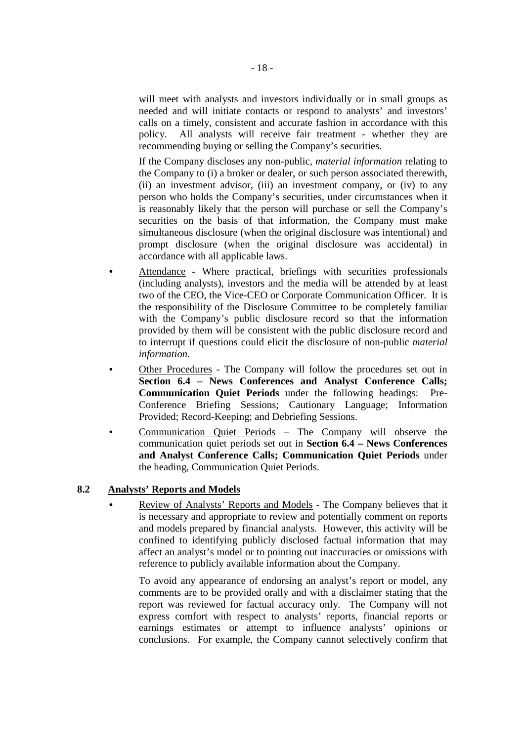will meet with analysts and investors individually or in small groups as needed and will initiate contacts or respond to analysts' and investors' calls on a timely, consistent and accurate fashion in accordance with this policy. All analysts will receive fair treatment - whether they are recommending buying or selling the Company's securities.

If the Company discloses any non-public, *material information* relating to the Company to (i) a broker or dealer, or such person associated therewith, (ii) an investment advisor, (iii) an investment company, or (iv) to any person who holds the Company's securities, under circumstances when it is reasonably likely that the person will purchase or sell the Company's securities on the basis of that information, the Company must make simultaneous disclosure (when the original disclosure was intentional) and prompt disclosure (when the original disclosure was accidental) in accordance with all applicable laws.

- Attendance Where practical, briefings with securities professionals (including analysts), investors and the media will be attended by at least two of the CEO, the Vice-CEO or Corporate Communication Officer. It is the responsibility of the Disclosure Committee to be completely familiar with the Company's public disclosure record so that the information provided by them will be consistent with the public disclosure record and to interrupt if questions could elicit the disclosure of non-public *material information*.
- Other Procedures The Company will follow the procedures set out in **Section 6.4 – News Conferences and Analyst Conference Calls; Communication Quiet Periods** under the following headings: Pre-Conference Briefing Sessions; Cautionary Language; Information Provided; Record-Keeping; and Debriefing Sessions.
- Communication Quiet Periods The Company will observe the communication quiet periods set out in **Section 6.4 – News Conferences and Analyst Conference Calls; Communication Quiet Periods** under the heading, Communication Quiet Periods.

## **8.2 Analysts' Reports and Models**

• Review of Analysts' Reports and Models - The Company believes that it is necessary and appropriate to review and potentially comment on reports and models prepared by financial analysts. However, this activity will be confined to identifying publicly disclosed factual information that may affect an analyst's model or to pointing out inaccuracies or omissions with reference to publicly available information about the Company.

To avoid any appearance of endorsing an analyst's report or model, any comments are to be provided orally and with a disclaimer stating that the report was reviewed for factual accuracy only. The Company will not express comfort with respect to analysts' reports, financial reports or earnings estimates or attempt to influence analysts' opinions or conclusions. For example, the Company cannot selectively confirm that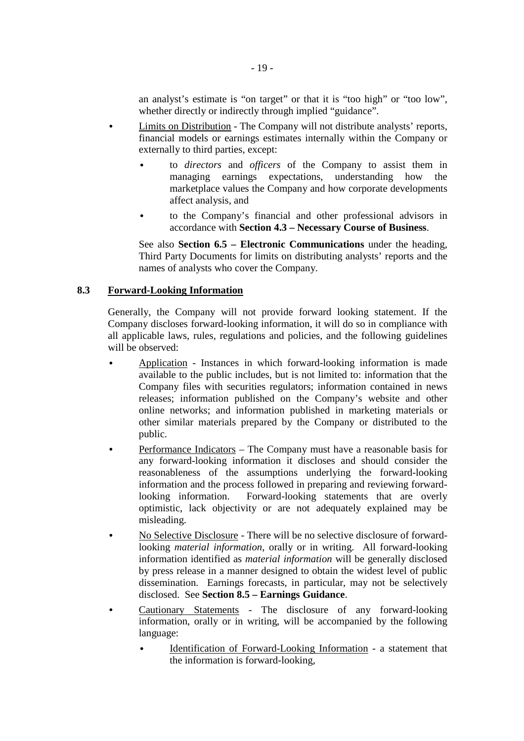an analyst's estimate is "on target" or that it is "too high" or "too low", whether directly or indirectly through implied "guidance".

- Limits on Distribution The Company will not distribute analysts' reports, financial models or earnings estimates internally within the Company or externally to third parties, except:
	- to *directors* and *officers* of the Company to assist them in managing earnings expectations, understanding how the marketplace values the Company and how corporate developments affect analysis, and
	- to the Company's financial and other professional advisors in accordance with **Section 4.3 – Necessary Course of Business**.

See also **Section 6.5 – Electronic Communications** under the heading, Third Party Documents for limits on distributing analysts' reports and the names of analysts who cover the Company.

#### **8.3 Forward-Looking Information**

Generally, the Company will not provide forward looking statement. If the Company discloses forward-looking information, it will do so in compliance with all applicable laws, rules, regulations and policies, and the following guidelines will be observed:

- Application Instances in which forward-looking information is made available to the public includes, but is not limited to: information that the Company files with securities regulators; information contained in news releases; information published on the Company's website and other online networks; and information published in marketing materials or other similar materials prepared by the Company or distributed to the public.
- Performance Indicators The Company must have a reasonable basis for any forward-looking information it discloses and should consider the reasonableness of the assumptions underlying the forward-looking information and the process followed in preparing and reviewing forwardlooking information. Forward-looking statements that are overly optimistic, lack objectivity or are not adequately explained may be misleading.
- No Selective Disclosure There will be no selective disclosure of forwardlooking *material information*, orally or in writing. All forward-looking information identified as *material information* will be generally disclosed by press release in a manner designed to obtain the widest level of public dissemination. Earnings forecasts, in particular, may not be selectively disclosed. See **Section 8.5 – Earnings Guidance**.
- Cautionary Statements The disclosure of any forward-looking information, orally or in writing, will be accompanied by the following language:
	- Identification of Forward-Looking Information a statement that the information is forward-looking,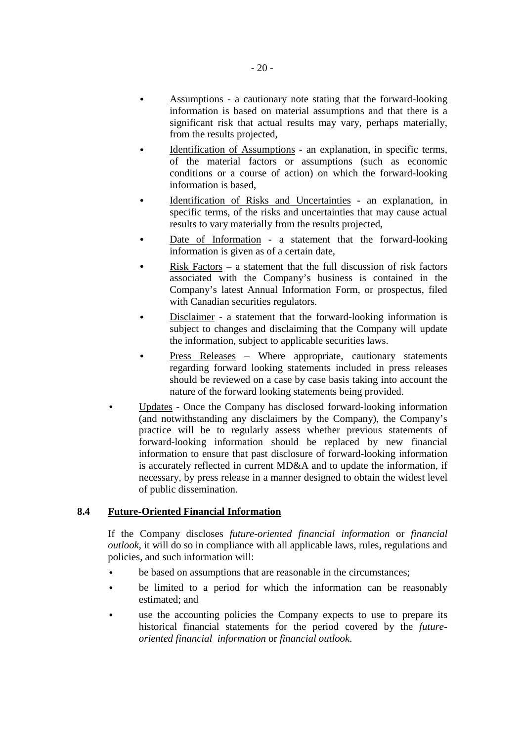- Assumptions a cautionary note stating that the forward-looking information is based on material assumptions and that there is a significant risk that actual results may vary, perhaps materially, from the results projected,
- Identification of Assumptions an explanation, in specific terms, of the material factors or assumptions (such as economic conditions or a course of action) on which the forward-looking information is based,
- Identification of Risks and Uncertainties an explanation, in specific terms, of the risks and uncertainties that may cause actual results to vary materially from the results projected,
- Date of Information a statement that the forward-looking information is given as of a certain date,
- Risk Factors  $-$  a statement that the full discussion of risk factors associated with the Company's business is contained in the Company's latest Annual Information Form, or prospectus, filed with Canadian securities regulators.
- Disclaimer a statement that the forward-looking information is subject to changes and disclaiming that the Company will update the information, subject to applicable securities laws.
- Press Releases Where appropriate, cautionary statements regarding forward looking statements included in press releases should be reviewed on a case by case basis taking into account the nature of the forward looking statements being provided.
- Updates Once the Company has disclosed forward-looking information (and notwithstanding any disclaimers by the Company), the Company's practice will be to regularly assess whether previous statements of forward-looking information should be replaced by new financial information to ensure that past disclosure of forward-looking information is accurately reflected in current MD&A and to update the information, if necessary, by press release in a manner designed to obtain the widest level of public dissemination.

## **8.4 Future-Oriented Financial Information**

If the Company discloses *future-oriented financial information* or *financial outlook*, it will do so in compliance with all applicable laws, rules, regulations and policies, and such information will:

- be based on assumptions that are reasonable in the circumstances;
- be limited to a period for which the information can be reasonably estimated; and
- use the accounting policies the Company expects to use to prepare its historical financial statements for the period covered by the *futureoriented financial information* or *financial outlook*.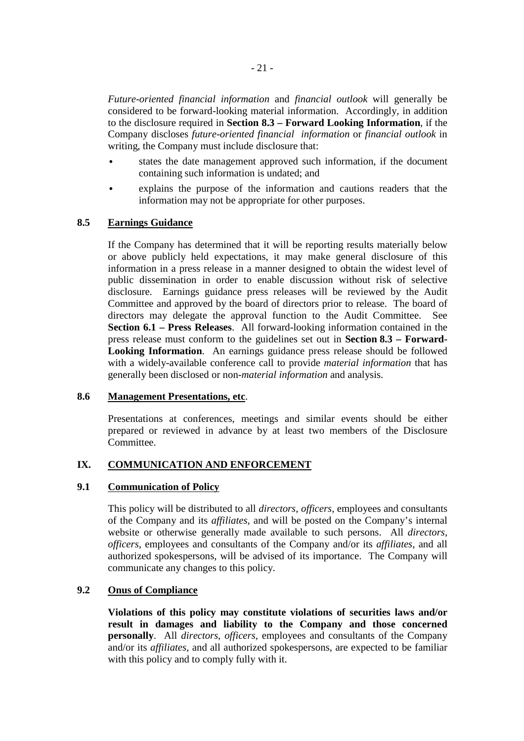*Future-oriented financial information* and *financial outlook* will generally be considered to be forward-looking material information. Accordingly, in addition to the disclosure required in **Section 8.3 – Forward Looking Information**, if the Company discloses *future-oriented financial information* or *financial outlook* in writing, the Company must include disclosure that:

- states the date management approved such information, if the document containing such information is undated; and
- explains the purpose of the information and cautions readers that the information may not be appropriate for other purposes.

## **8.5 Earnings Guidance**

If the Company has determined that it will be reporting results materially below or above publicly held expectations, it may make general disclosure of this information in a press release in a manner designed to obtain the widest level of public dissemination in order to enable discussion without risk of selective disclosure. Earnings guidance press releases will be reviewed by the Audit Committee and approved by the board of directors prior to release. The board of directors may delegate the approval function to the Audit Committee. See **Section 6.1 – Press Releases**. All forward-looking information contained in the press release must conform to the guidelines set out in **Section 8.3 – Forward-Looking Information**. An earnings guidance press release should be followed with a widely-available conference call to provide *material information* that has generally been disclosed or non-*material information* and analysis.

#### **8.6 Management Presentations, etc**.

Presentations at conferences, meetings and similar events should be either prepared or reviewed in advance by at least two members of the Disclosure Committee.

#### **IX. COMMUNICATION AND ENFORCEMENT**

#### **9.1 Communication of Policy**

This policy will be distributed to all *directors, officers*, employees and consultants of the Company and its *affiliates,* and will be posted on the Company's internal website or otherwise generally made available to such persons. All *directors, officers*, employees and consultants of the Company and/or its *affiliates*, and all authorized spokespersons, will be advised of its importance. The Company will communicate any changes to this policy.

#### **9.2 Onus of Compliance**

**Violations of this policy may constitute violations of securities laws and/or result in damages and liability to the Company and those concerned personally**. All *directors, officers,* employees and consultants of the Company and/or its *affiliates*, and all authorized spokespersons, are expected to be familiar with this policy and to comply fully with it.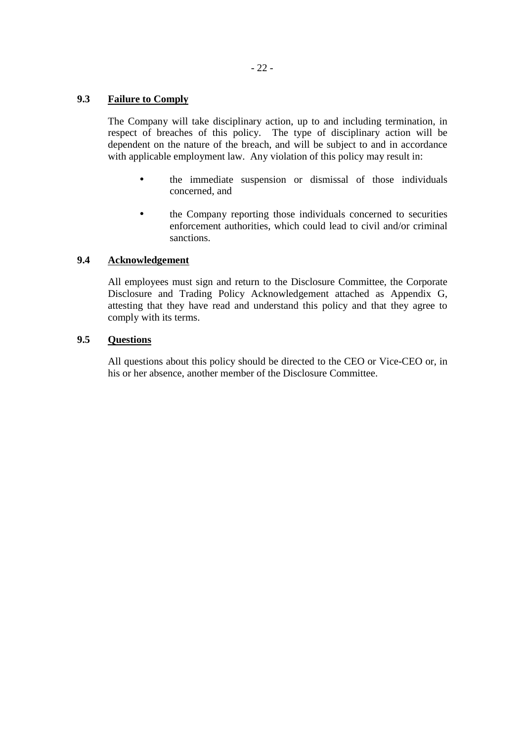## **9.3 Failure to Comply**

The Company will take disciplinary action, up to and including termination, in respect of breaches of this policy. The type of disciplinary action will be dependent on the nature of the breach, and will be subject to and in accordance with applicable employment law. Any violation of this policy may result in:

- the immediate suspension or dismissal of those individuals concerned, and
- the Company reporting those individuals concerned to securities enforcement authorities, which could lead to civil and/or criminal sanctions.

## **9.4 Acknowledgement**

All employees must sign and return to the Disclosure Committee, the Corporate Disclosure and Trading Policy Acknowledgement attached as Appendix G, attesting that they have read and understand this policy and that they agree to comply with its terms.

## **9.5 Questions**

All questions about this policy should be directed to the CEO or Vice-CEO or, in his or her absence, another member of the Disclosure Committee.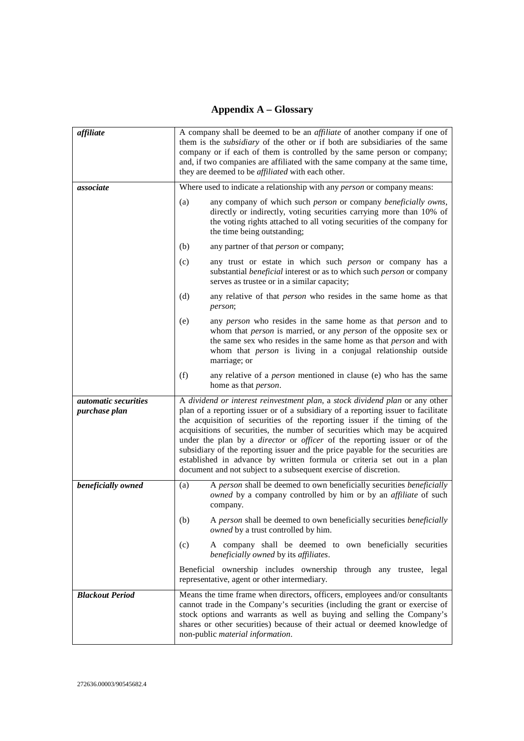# **Appendix A – Glossary**

| affiliate                                    | A company shall be deemed to be an <i>affiliate</i> of another company if one of<br>them is the <i>subsidiary</i> of the other or if both are subsidiaries of the same<br>company or if each of them is controlled by the same person or company;<br>and, if two companies are affiliated with the same company at the same time,<br>they are deemed to be <i>affiliated</i> with each other.                                                                                                                                                                                                                                                              |  |  |
|----------------------------------------------|------------------------------------------------------------------------------------------------------------------------------------------------------------------------------------------------------------------------------------------------------------------------------------------------------------------------------------------------------------------------------------------------------------------------------------------------------------------------------------------------------------------------------------------------------------------------------------------------------------------------------------------------------------|--|--|
| associate                                    | Where used to indicate a relationship with any <i>person</i> or company means:                                                                                                                                                                                                                                                                                                                                                                                                                                                                                                                                                                             |  |  |
|                                              | (a)<br>any company of which such person or company beneficially owns,<br>directly or indirectly, voting securities carrying more than 10% of<br>the voting rights attached to all voting securities of the company for<br>the time being outstanding;                                                                                                                                                                                                                                                                                                                                                                                                      |  |  |
|                                              | (b)<br>any partner of that <i>person</i> or company;                                                                                                                                                                                                                                                                                                                                                                                                                                                                                                                                                                                                       |  |  |
|                                              | any trust or estate in which such person or company has a<br>(c)<br>substantial <i>beneficial</i> interest or as to which such <i>person</i> or company<br>serves as trustee or in a similar capacity;                                                                                                                                                                                                                                                                                                                                                                                                                                                     |  |  |
|                                              | (d)<br>any relative of that <i>person</i> who resides in the same home as that<br>person;                                                                                                                                                                                                                                                                                                                                                                                                                                                                                                                                                                  |  |  |
|                                              | (e)<br>any <i>person</i> who resides in the same home as that <i>person</i> and to<br>whom that <i>person</i> is married, or any <i>person</i> of the opposite sex or<br>the same sex who resides in the same home as that <i>person</i> and with<br>whom that <i>person</i> is living in a conjugal relationship outside<br>marriage; or                                                                                                                                                                                                                                                                                                                  |  |  |
|                                              | (f)<br>any relative of a <i>person</i> mentioned in clause (e) who has the same<br>home as that <i>person</i> .                                                                                                                                                                                                                                                                                                                                                                                                                                                                                                                                            |  |  |
| <i>automatic securities</i><br>purchase plan | A dividend or interest reinvestment plan, a stock dividend plan or any other<br>plan of a reporting issuer or of a subsidiary of a reporting issuer to facilitate<br>the acquisition of securities of the reporting issuer if the timing of the<br>acquisitions of securities, the number of securities which may be acquired<br>under the plan by a <i>director</i> or <i>officer</i> of the reporting issuer or of the<br>subsidiary of the reporting issuer and the price payable for the securities are<br>established in advance by written formula or criteria set out in a plan<br>document and not subject to a subsequent exercise of discretion. |  |  |
| beneficially owned                           | A person shall be deemed to own beneficially securities beneficially<br>(a)<br>owned by a company controlled by him or by an affiliate of such<br>company.                                                                                                                                                                                                                                                                                                                                                                                                                                                                                                 |  |  |
|                                              | A person shall be deemed to own beneficially securities beneficially<br>(b)<br>owned by a trust controlled by him.                                                                                                                                                                                                                                                                                                                                                                                                                                                                                                                                         |  |  |
|                                              | A company shall be deemed to own beneficially securities<br>(c)<br>beneficially owned by its affiliates.                                                                                                                                                                                                                                                                                                                                                                                                                                                                                                                                                   |  |  |
|                                              | Beneficial ownership includes ownership<br>through any trustee, legal<br>representative, agent or other intermediary.                                                                                                                                                                                                                                                                                                                                                                                                                                                                                                                                      |  |  |
| <b>Blackout Period</b>                       | Means the time frame when directors, officers, employees and/or consultants<br>cannot trade in the Company's securities (including the grant or exercise of<br>stock options and warrants as well as buying and selling the Company's<br>shares or other securities) because of their actual or deemed knowledge of<br>non-public material information.                                                                                                                                                                                                                                                                                                    |  |  |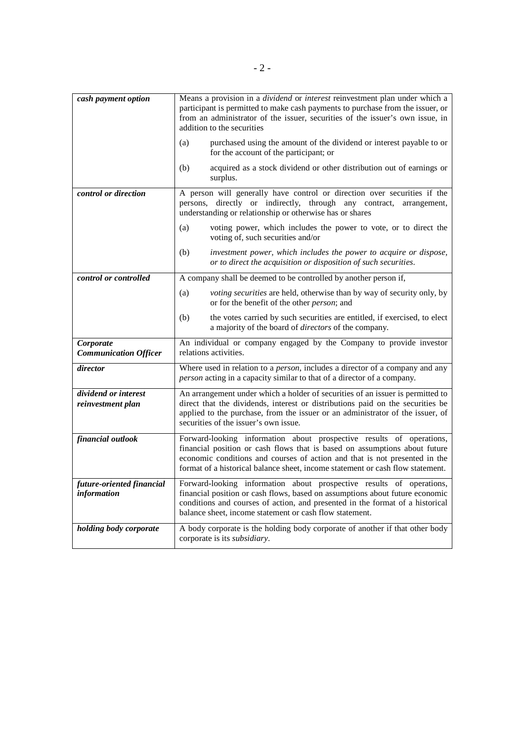| cash payment option                       | Means a provision in a <i>dividend</i> or <i>interest</i> reinvestment plan under which a<br>participant is permitted to make cash payments to purchase from the issuer, or<br>from an administrator of the issuer, securities of the issuer's own issue, in<br>addition to the securities                         |
|-------------------------------------------|--------------------------------------------------------------------------------------------------------------------------------------------------------------------------------------------------------------------------------------------------------------------------------------------------------------------|
|                                           | purchased using the amount of the dividend or interest payable to or<br>(a)<br>for the account of the participant; or                                                                                                                                                                                              |
|                                           | acquired as a stock dividend or other distribution out of earnings or<br>(b)<br>surplus.                                                                                                                                                                                                                           |
| control or direction                      | A person will generally have control or direction over securities if the<br>through any contract,<br>directly or indirectly,<br>persons,<br>arrangement,<br>understanding or relationship or otherwise has or shares                                                                                               |
|                                           | voting power, which includes the power to vote, or to direct the<br>(a)<br>voting of, such securities and/or                                                                                                                                                                                                       |
|                                           | (b)<br>investment power, which includes the power to acquire or dispose,<br>or to direct the acquisition or disposition of such securities.                                                                                                                                                                        |
| control or controlled                     | A company shall be deemed to be controlled by another person if,                                                                                                                                                                                                                                                   |
|                                           | voting securities are held, otherwise than by way of security only, by<br>(a)<br>or for the benefit of the other person; and                                                                                                                                                                                       |
|                                           | (b)<br>the votes carried by such securities are entitled, if exercised, to elect<br>a majority of the board of <i>directors</i> of the company.                                                                                                                                                                    |
| Corporate<br><b>Communication Officer</b> | An individual or company engaged by the Company to provide investor<br>relations activities.                                                                                                                                                                                                                       |
| director                                  | Where used in relation to a <i>person</i> , includes a director of a company and any<br>person acting in a capacity similar to that of a director of a company.                                                                                                                                                    |
| dividend or interest<br>reinvestment plan | An arrangement under which a holder of securities of an issuer is permitted to<br>direct that the dividends, interest or distributions paid on the securities be<br>applied to the purchase, from the issuer or an administrator of the issuer, of<br>securities of the issuer's own issue.                        |
| financial outlook                         | Forward-looking information about prospective results of operations,<br>financial position or cash flows that is based on assumptions about future<br>economic conditions and courses of action and that is not presented in the<br>format of a historical balance sheet, income statement or cash flow statement. |
| future-oriented financial<br>information  | Forward-looking information about prospective results of operations,<br>financial position or cash flows, based on assumptions about future economic<br>conditions and courses of action, and presented in the format of a historical<br>balance sheet, income statement or cash flow statement.                   |
| holding body corporate                    | A body corporate is the holding body corporate of another if that other body<br>corporate is its <i>subsidiary</i> .                                                                                                                                                                                               |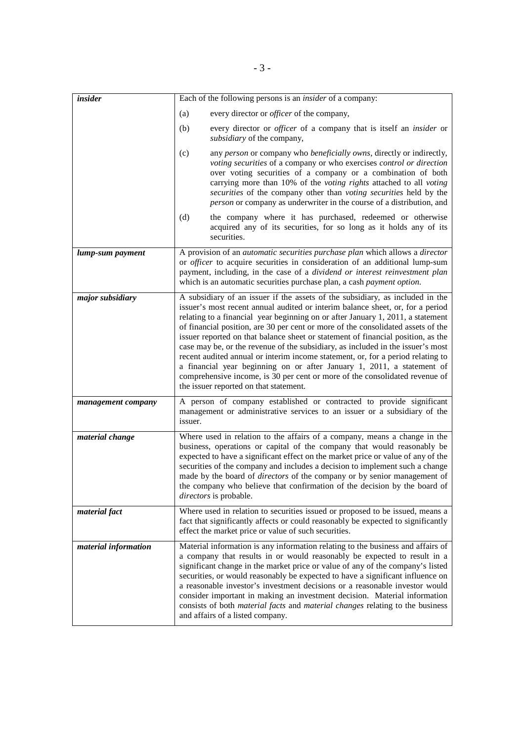| insider              | Each of the following persons is an <i>insider</i> of a company:                                                                                                                                                                                                                                                                                                                                                                                                                                                                                                                                                                                                                                                                                                                                    |
|----------------------|-----------------------------------------------------------------------------------------------------------------------------------------------------------------------------------------------------------------------------------------------------------------------------------------------------------------------------------------------------------------------------------------------------------------------------------------------------------------------------------------------------------------------------------------------------------------------------------------------------------------------------------------------------------------------------------------------------------------------------------------------------------------------------------------------------|
|                      | every director or <i>officer</i> of the company,<br>(a)                                                                                                                                                                                                                                                                                                                                                                                                                                                                                                                                                                                                                                                                                                                                             |
|                      | every director or <i>officer</i> of a company that is itself an <i>insider</i> or<br>(b)<br>subsidiary of the company,                                                                                                                                                                                                                                                                                                                                                                                                                                                                                                                                                                                                                                                                              |
|                      | any person or company who beneficially owns, directly or indirectly,<br>(c)<br>voting securities of a company or who exercises control or direction<br>over voting securities of a company or a combination of both<br>carrying more than 10% of the voting rights attached to all voting<br>securities of the company other than voting securities held by the<br>person or company as underwriter in the course of a distribution, and                                                                                                                                                                                                                                                                                                                                                            |
|                      | (d)<br>the company where it has purchased, redeemed or otherwise<br>acquired any of its securities, for so long as it holds any of its<br>securities.                                                                                                                                                                                                                                                                                                                                                                                                                                                                                                                                                                                                                                               |
| lump-sum payment     | A provision of an automatic securities purchase plan which allows a director<br>or <i>officer</i> to acquire securities in consideration of an additional lump-sum<br>payment, including, in the case of a dividend or interest reinvestment plan<br>which is an automatic securities purchase plan, a cash payment option.                                                                                                                                                                                                                                                                                                                                                                                                                                                                         |
| major subsidiary     | A subsidiary of an issuer if the assets of the subsidiary, as included in the<br>issuer's most recent annual audited or interim balance sheet, or, for a period<br>relating to a financial year beginning on or after January 1, 2011, a statement<br>of financial position, are 30 per cent or more of the consolidated assets of the<br>issuer reported on that balance sheet or statement of financial position, as the<br>case may be, or the revenue of the subsidiary, as included in the issuer's most<br>recent audited annual or interim income statement, or, for a period relating to<br>a financial year beginning on or after January 1, 2011, a statement of<br>comprehensive income, is 30 per cent or more of the consolidated revenue of<br>the issuer reported on that statement. |
| management company   | A person of company established or contracted to provide significant<br>management or administrative services to an issuer or a subsidiary of the<br>issuer.                                                                                                                                                                                                                                                                                                                                                                                                                                                                                                                                                                                                                                        |
| material change      | Where used in relation to the affairs of a company, means a change in the<br>business, operations or capital of the company that would reasonably be<br>expected to have a significant effect on the market price or value of any of the<br>securities of the company and includes a decision to implement such a change<br>made by the board of <i>directors</i> of the company or by senior management of<br>the company who believe that confirmation of the decision by the board of<br>directors is probable.                                                                                                                                                                                                                                                                                  |
| material fact        | Where used in relation to securities issued or proposed to be issued, means a<br>fact that significantly affects or could reasonably be expected to significantly<br>effect the market price or value of such securities.                                                                                                                                                                                                                                                                                                                                                                                                                                                                                                                                                                           |
| material information | Material information is any information relating to the business and affairs of<br>a company that results in or would reasonably be expected to result in a<br>significant change in the market price or value of any of the company's listed<br>securities, or would reasonably be expected to have a significant influence on<br>a reasonable investor's investment decisions or a reasonable investor would<br>consider important in making an investment decision. Material information<br>consists of both <i>material facts</i> and <i>material changes</i> relating to the business<br>and affairs of a listed company.                                                                                                                                                                      |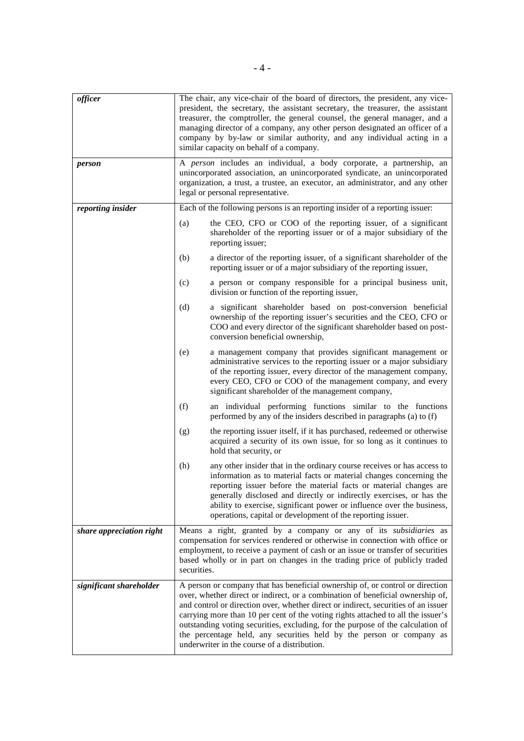| officer                  |             | The chair, any vice-chair of the board of directors, the president, any vice-<br>president, the secretary, the assistant secretary, the treasurer, the assistant<br>treasurer, the comptroller, the general counsel, the general manager, and a<br>managing director of a company, any other person designated an officer of a<br>company by by-law or similar authority, and any individual acting in a<br>similar capacity on behalf of a company.                                                                                                 |
|--------------------------|-------------|------------------------------------------------------------------------------------------------------------------------------------------------------------------------------------------------------------------------------------------------------------------------------------------------------------------------------------------------------------------------------------------------------------------------------------------------------------------------------------------------------------------------------------------------------|
| person                   |             | A person includes an individual, a body corporate, a partnership, an<br>unincorporated association, an unincorporated syndicate, an unincorporated<br>organization, a trust, a trustee, an executor, an administrator, and any other<br>legal or personal representative.                                                                                                                                                                                                                                                                            |
| reporting insider        |             | Each of the following persons is an reporting insider of a reporting issuer:                                                                                                                                                                                                                                                                                                                                                                                                                                                                         |
|                          | (a)         | the CEO, CFO or COO of the reporting issuer, of a significant<br>shareholder of the reporting issuer or of a major subsidiary of the<br>reporting issuer;                                                                                                                                                                                                                                                                                                                                                                                            |
|                          | (b)         | a director of the reporting issuer, of a significant shareholder of the<br>reporting issuer or of a major subsidiary of the reporting issuer,                                                                                                                                                                                                                                                                                                                                                                                                        |
|                          | (c)         | a person or company responsible for a principal business unit,<br>division or function of the reporting issuer,                                                                                                                                                                                                                                                                                                                                                                                                                                      |
|                          | (d)         | a significant shareholder based on post-conversion beneficial<br>ownership of the reporting issuer's securities and the CEO, CFO or<br>COO and every director of the significant shareholder based on post-<br>conversion beneficial ownership,                                                                                                                                                                                                                                                                                                      |
|                          | (e)         | a management company that provides significant management or<br>administrative services to the reporting issuer or a major subsidiary<br>of the reporting issuer, every director of the management company,<br>every CEO, CFO or COO of the management company, and every<br>significant shareholder of the management company,                                                                                                                                                                                                                      |
|                          | (f)         | an individual performing functions similar to the functions<br>performed by any of the insiders described in paragraphs (a) to (f)                                                                                                                                                                                                                                                                                                                                                                                                                   |
|                          | (g)         | the reporting issuer itself, if it has purchased, redeemed or otherwise<br>acquired a security of its own issue, for so long as it continues to<br>hold that security, or                                                                                                                                                                                                                                                                                                                                                                            |
|                          | (h)         | any other insider that in the ordinary course receives or has access to<br>information as to material facts or material changes concerning the<br>reporting issuer before the material facts or material changes are<br>generally disclosed and directly or indirectly exercises, or has the<br>ability to exercise, significant power or influence over the business,<br>operations, capital or development of the reporting issuer.                                                                                                                |
| share appreciation right | securities. | Means a right, granted by a company or any of its subsidiaries as<br>compensation for services rendered or otherwise in connection with office or<br>employment, to receive a payment of cash or an issue or transfer of securities<br>based wholly or in part on changes in the trading price of publicly traded                                                                                                                                                                                                                                    |
| significant shareholder  |             | A person or company that has beneficial ownership of, or control or direction<br>over, whether direct or indirect, or a combination of beneficial ownership of,<br>and control or direction over, whether direct or indirect, securities of an issuer<br>carrying more than 10 per cent of the voting rights attached to all the issuer's<br>outstanding voting securities, excluding, for the purpose of the calculation of<br>the percentage held, any securities held by the person or company as<br>underwriter in the course of a distribution. |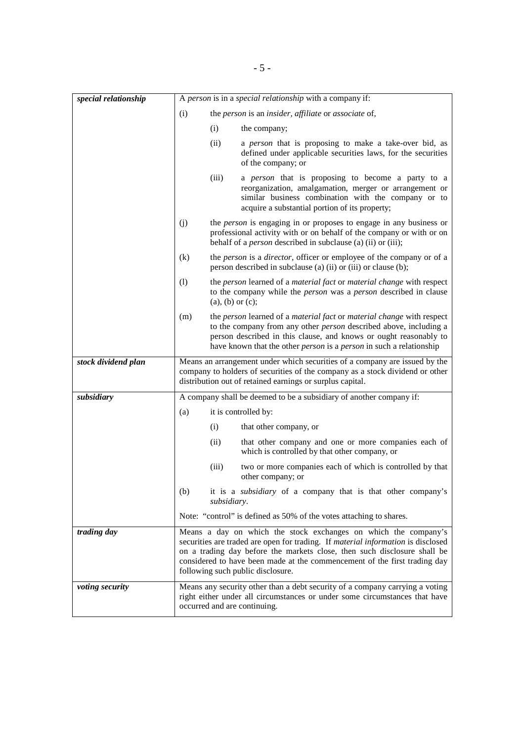| special relationship |     | A person is in a special relationship with a company if:                                                                                                                                                                                                                                                                                          |
|----------------------|-----|---------------------------------------------------------------------------------------------------------------------------------------------------------------------------------------------------------------------------------------------------------------------------------------------------------------------------------------------------|
|                      | (i) | the person is an insider, affiliate or associate of,                                                                                                                                                                                                                                                                                              |
|                      |     | (i)<br>the company;                                                                                                                                                                                                                                                                                                                               |
|                      |     | (ii)<br>a person that is proposing to make a take-over bid, as<br>defined under applicable securities laws, for the securities<br>of the company; or                                                                                                                                                                                              |
|                      |     | (iii)<br>a person that is proposing to become a party to a<br>reorganization, amalgamation, merger or arrangement or<br>similar business combination with the company or to<br>acquire a substantial portion of its property;                                                                                                                     |
|                      | (j) | the <i>person</i> is engaging in or proposes to engage in any business or<br>professional activity with or on behalf of the company or with or on<br>behalf of a <i>person</i> described in subclause (a) (ii) or (iii);                                                                                                                          |
|                      | (k) | the <i>person</i> is a <i>director</i> , officer or employee of the company or of a<br>person described in subclause (a) (ii) or (iii) or clause (b);                                                                                                                                                                                             |
|                      | (1) | the person learned of a material fact or material change with respect<br>to the company while the <i>person</i> was a <i>person</i> described in clause<br>$(a)$ , $(b)$ or $(c)$ ;                                                                                                                                                               |
|                      | (m) | the person learned of a material fact or material change with respect<br>to the company from any other <i>person</i> described above, including a<br>person described in this clause, and knows or ought reasonably to<br>have known that the other <i>person</i> is a <i>person</i> in such a relationship                                       |
|                      |     |                                                                                                                                                                                                                                                                                                                                                   |
| stock dividend plan  |     | Means an arrangement under which securities of a company are issued by the<br>company to holders of securities of the company as a stock dividend or other<br>distribution out of retained earnings or surplus capital.                                                                                                                           |
| subsidiary           |     | A company shall be deemed to be a subsidiary of another company if:                                                                                                                                                                                                                                                                               |
|                      | (a) | it is controlled by:                                                                                                                                                                                                                                                                                                                              |
|                      |     | (i)<br>that other company, or                                                                                                                                                                                                                                                                                                                     |
|                      |     | that other company and one or more companies each of<br>(ii)<br>which is controlled by that other company, or                                                                                                                                                                                                                                     |
|                      |     | (iii)<br>two or more companies each of which is controlled by that<br>other company; or                                                                                                                                                                                                                                                           |
|                      | (b) | it is a <i>subsidiary</i> of a company that is that other company's<br>subsidiary.                                                                                                                                                                                                                                                                |
|                      |     | Note: "control" is defined as 50% of the votes attaching to shares.                                                                                                                                                                                                                                                                               |
| trading day          |     | Means a day on which the stock exchanges on which the company's<br>securities are traded are open for trading. If material information is disclosed<br>on a trading day before the markets close, then such disclosure shall be<br>considered to have been made at the commencement of the first trading day<br>following such public disclosure. |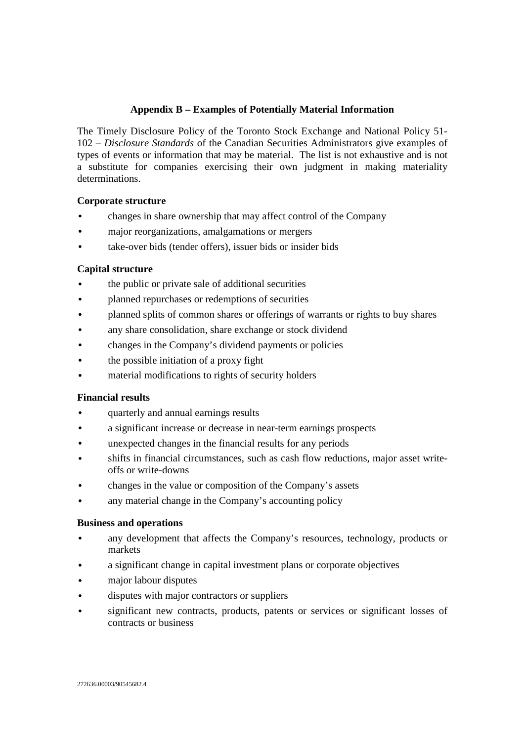## **Appendix B – Examples of Potentially Material Information**

The Timely Disclosure Policy of the Toronto Stock Exchange and National Policy 51- 102 – *Disclosure Standards* of the Canadian Securities Administrators give examples of types of events or information that may be material. The list is not exhaustive and is not a substitute for companies exercising their own judgment in making materiality determinations.

## **Corporate structure**

- changes in share ownership that may affect control of the Company
- major reorganizations, amalgamations or mergers
- take-over bids (tender offers), issuer bids or insider bids

## **Capital structure**

- the public or private sale of additional securities
- planned repurchases or redemptions of securities
- planned splits of common shares or offerings of warrants or rights to buy shares
- any share consolidation, share exchange or stock dividend
- changes in the Company's dividend payments or policies
- the possible initiation of a proxy fight
- material modifications to rights of security holders

## **Financial results**

- quarterly and annual earnings results
- a significant increase or decrease in near-term earnings prospects
- unexpected changes in the financial results for any periods
- shifts in financial circumstances, such as cash flow reductions, major asset writeoffs or write-downs
- changes in the value or composition of the Company's assets
- any material change in the Company's accounting policy

## **Business and operations**

- any development that affects the Company's resources, technology, products or markets
- a significant change in capital investment plans or corporate objectives
- major labour disputes
- disputes with major contractors or suppliers
- significant new contracts, products, patents or services or significant losses of contracts or business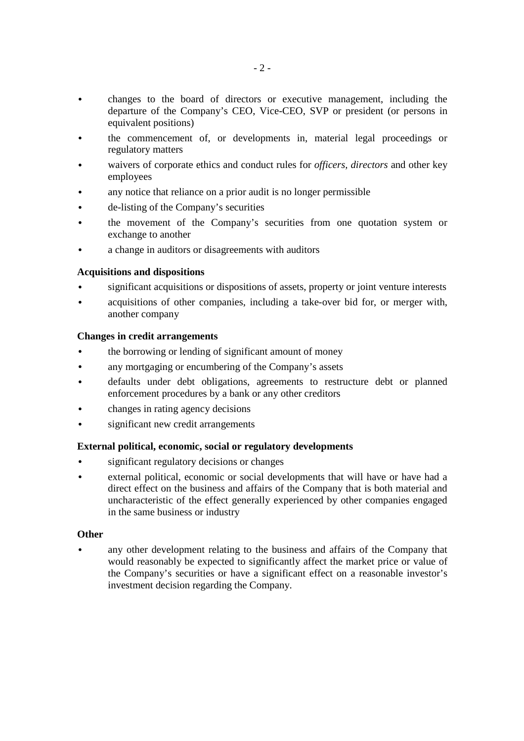- changes to the board of directors or executive management, including the departure of the Company's CEO, Vice-CEO, SVP or president (or persons in equivalent positions)
- the commencement of, or developments in, material legal proceedings or regulatory matters
- waivers of corporate ethics and conduct rules for *officers, directors* and other key employees
- any notice that reliance on a prior audit is no longer permissible
- de-listing of the Company's securities
- the movement of the Company's securities from one quotation system or exchange to another
- a change in auditors or disagreements with auditors

## **Acquisitions and dispositions**

- significant acquisitions or dispositions of assets, property or joint venture interests
- acquisitions of other companies, including a take-over bid for, or merger with, another company

## **Changes in credit arrangements**

- the borrowing or lending of significant amount of money
- any mortgaging or encumbering of the Company's assets
- defaults under debt obligations, agreements to restructure debt or planned enforcement procedures by a bank or any other creditors
- changes in rating agency decisions
- significant new credit arrangements

## **External political, economic, social or regulatory developments**

- significant regulatory decisions or changes
- external political, economic or social developments that will have or have had a direct effect on the business and affairs of the Company that is both material and uncharacteristic of the effect generally experienced by other companies engaged in the same business or industry

## **Other**

• any other development relating to the business and affairs of the Company that would reasonably be expected to significantly affect the market price or value of the Company's securities or have a significant effect on a reasonable investor's investment decision regarding the Company.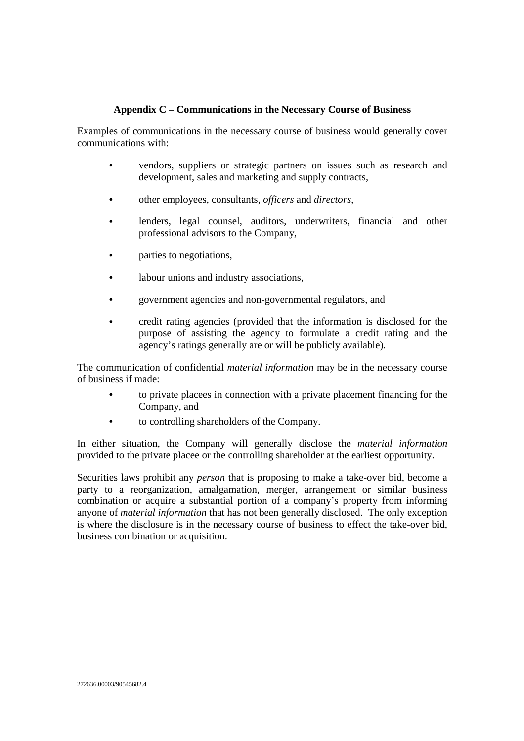## **Appendix C – Communications in the Necessary Course of Business**

Examples of communications in the necessary course of business would generally cover communications with:

- vendors, suppliers or strategic partners on issues such as research and development, sales and marketing and supply contracts,
- other employees, consultants, *officers* and *directors*,
- lenders, legal counsel, auditors, underwriters, financial and other professional advisors to the Company,
- parties to negotiations,
- labour unions and industry associations.
- government agencies and non-governmental regulators, and
- credit rating agencies (provided that the information is disclosed for the purpose of assisting the agency to formulate a credit rating and the agency's ratings generally are or will be publicly available).

The communication of confidential *material information* may be in the necessary course of business if made:

- to private placees in connection with a private placement financing for the Company, and
- to controlling shareholders of the Company.

In either situation, the Company will generally disclose the *material information* provided to the private placee or the controlling shareholder at the earliest opportunity.

Securities laws prohibit any *person* that is proposing to make a take-over bid, become a party to a reorganization, amalgamation, merger, arrangement or similar business combination or acquire a substantial portion of a company's property from informing anyone of *material information* that has not been generally disclosed. The only exception is where the disclosure is in the necessary course of business to effect the take-over bid, business combination or acquisition.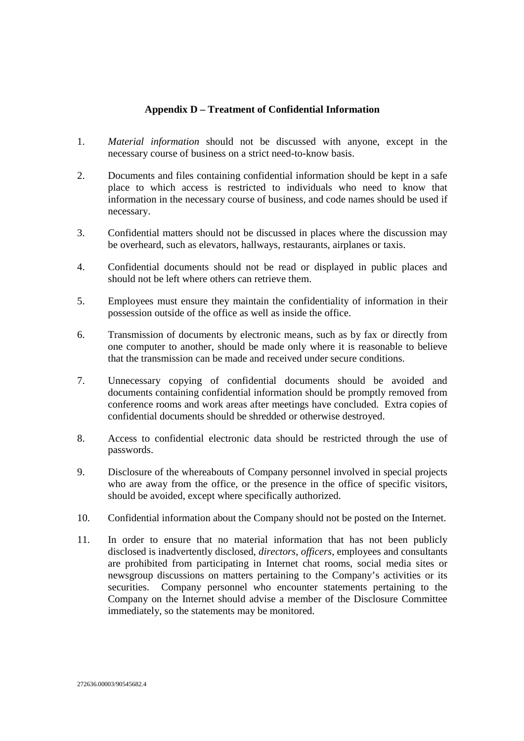## **Appendix D – Treatment of Confidential Information**

- 1. *Material information* should not be discussed with anyone, except in the necessary course of business on a strict need-to-know basis.
- 2. Documents and files containing confidential information should be kept in a safe place to which access is restricted to individuals who need to know that information in the necessary course of business, and code names should be used if necessary.
- 3. Confidential matters should not be discussed in places where the discussion may be overheard, such as elevators, hallways, restaurants, airplanes or taxis.
- 4. Confidential documents should not be read or displayed in public places and should not be left where others can retrieve them.
- 5. Employees must ensure they maintain the confidentiality of information in their possession outside of the office as well as inside the office.
- 6. Transmission of documents by electronic means, such as by fax or directly from one computer to another, should be made only where it is reasonable to believe that the transmission can be made and received under secure conditions.
- 7. Unnecessary copying of confidential documents should be avoided and documents containing confidential information should be promptly removed from conference rooms and work areas after meetings have concluded. Extra copies of confidential documents should be shredded or otherwise destroyed.
- 8. Access to confidential electronic data should be restricted through the use of passwords.
- 9. Disclosure of the whereabouts of Company personnel involved in special projects who are away from the office, or the presence in the office of specific visitors, should be avoided, except where specifically authorized.
- 10. Confidential information about the Company should not be posted on the Internet.
- 11. In order to ensure that no material information that has not been publicly disclosed is inadvertently disclosed, *directors*, *officers*, employees and consultants are prohibited from participating in Internet chat rooms, social media sites or newsgroup discussions on matters pertaining to the Company's activities or its securities. Company personnel who encounter statements pertaining to the Company on the Internet should advise a member of the Disclosure Committee immediately, so the statements may be monitored.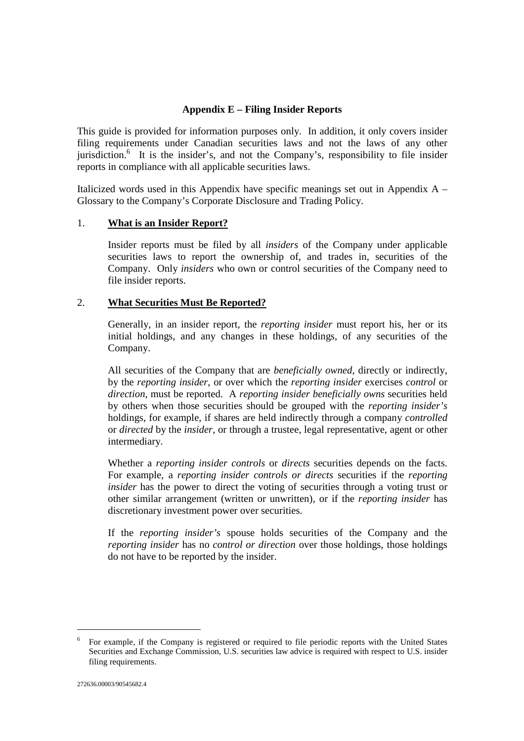## **Appendix E – Filing Insider Reports**

This guide is provided for information purposes only. In addition, it only covers insider filing requirements under Canadian securities laws and not the laws of any other jurisdiction.<sup>6</sup> It is the insider's, and not the Company's, responsibility to file insider reports in compliance with all applicable securities laws.

Italicized words used in this Appendix have specific meanings set out in Appendix A – Glossary to the Company's Corporate Disclosure and Trading Policy.

#### 1. **What is an Insider Report?**

Insider reports must be filed by all *insiders* of the Company under applicable securities laws to report the ownership of, and trades in, securities of the Company. Only *insiders* who own or control securities of the Company need to file insider reports.

#### 2. **What Securities Must Be Reported?**

Generally, in an insider report, the *reporting insider* must report his, her or its initial holdings, and any changes in these holdings, of any securities of the Company.

All securities of the Company that are *beneficially owned*, directly or indirectly, by the *reporting insider*, or over which the *reporting insider* exercises *control* or *direction*, must be reported. A *reporting insider beneficially owns* securities held by others when those securities should be grouped with the *reporting insider's* holdings, for example, if shares are held indirectly through a company *controlled*  or *directed* by the *insider*, or through a trustee, legal representative, agent or other intermediary.

Whether a *reporting insider controls* or *directs* securities depends on the facts. For example, a *reporting insider controls or directs* securities if the *reporting insider* has the power to direct the voting of securities through a voting trust or other similar arrangement (written or unwritten), or if the *reporting insider* has discretionary investment power over securities.

If the *reporting insider's* spouse holds securities of the Company and the *reporting insider* has no *control or direction* over those holdings, those holdings do not have to be reported by the insider.

-

<sup>6</sup> For example, if the Company is registered or required to file periodic reports with the United States Securities and Exchange Commission, U.S. securities law advice is required with respect to U.S. insider filing requirements.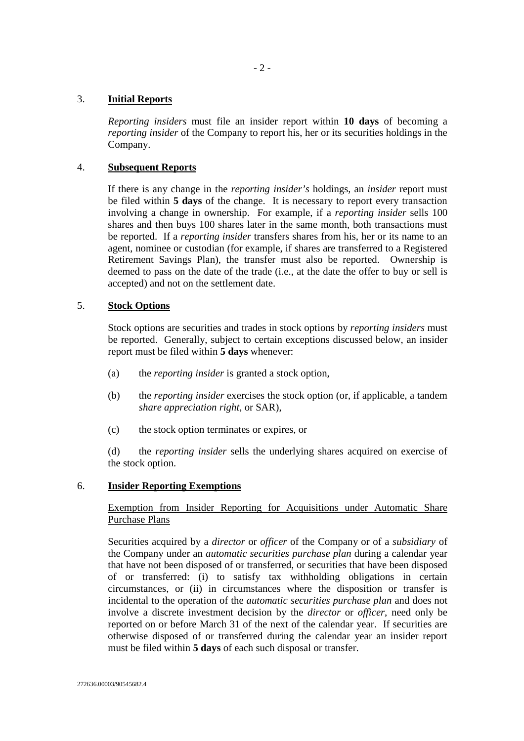## 3. **Initial Reports**

*Reporting insiders* must file an insider report within **10 days** of becoming a *reporting insider* of the Company to report his, her or its securities holdings in the Company.

#### 4. **Subsequent Reports**

If there is any change in the *reporting insider's* holdings, an *insider* report must be filed within **5 days** of the change. It is necessary to report every transaction involving a change in ownership. For example, if a *reporting insider* sells 100 shares and then buys 100 shares later in the same month, both transactions must be reported. If a *reporting insider* transfers shares from his, her or its name to an agent, nominee or custodian (for example, if shares are transferred to a Registered Retirement Savings Plan), the transfer must also be reported. Ownership is deemed to pass on the date of the trade (i.e., at the date the offer to buy or sell is accepted) and not on the settlement date.

## 5. **Stock Options**

Stock options are securities and trades in stock options by *reporting insiders* must be reported. Generally, subject to certain exceptions discussed below, an insider report must be filed within **5 days** whenever:

- (a) the *reporting insider* is granted a stock option,
- (b) the *reporting insider* exercises the stock option (or, if applicable, a tandem *share appreciation right*, or SAR),
- (c) the stock option terminates or expires, or

(d) the *reporting insider* sells the underlying shares acquired on exercise of the stock option.

#### 6. **Insider Reporting Exemptions**

## Exemption from Insider Reporting for Acquisitions under Automatic Share Purchase Plans

Securities acquired by a *director* or *officer* of the Company or of a *subsidiary* of the Company under an *automatic securities purchase plan* during a calendar year that have not been disposed of or transferred, or securities that have been disposed of or transferred: (i) to satisfy tax withholding obligations in certain circumstances, or (ii) in circumstances where the disposition or transfer is incidental to the operation of the *automatic securities purchase plan* and does not involve a discrete investment decision by the *director* or *officer*, need only be reported on or before March 31 of the next of the calendar year. If securities are otherwise disposed of or transferred during the calendar year an insider report must be filed within **5 days** of each such disposal or transfer.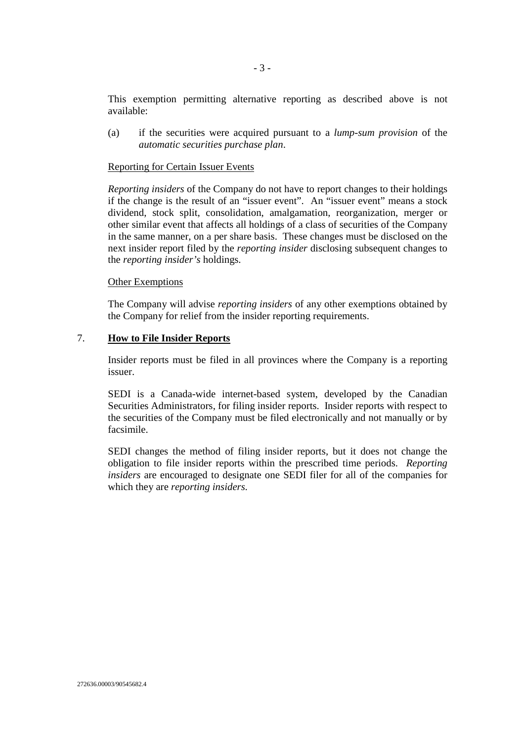This exemption permitting alternative reporting as described above is not available:

(a) if the securities were acquired pursuant to a *lump-sum provision* of the *automatic securities purchase plan*.

#### Reporting for Certain Issuer Events

*Reporting insiders* of the Company do not have to report changes to their holdings if the change is the result of an "issuer event". An "issuer event" means a stock dividend, stock split, consolidation, amalgamation, reorganization, merger or other similar event that affects all holdings of a class of securities of the Company in the same manner, on a per share basis. These changes must be disclosed on the next insider report filed by the *reporting insider* disclosing subsequent changes to the *reporting insider's* holdings.

#### Other Exemptions

The Company will advise *reporting insiders* of any other exemptions obtained by the Company for relief from the insider reporting requirements.

#### 7. **How to File Insider Reports**

Insider reports must be filed in all provinces where the Company is a reporting issuer.

SEDI is a Canada-wide internet-based system, developed by the Canadian Securities Administrators, for filing insider reports. Insider reports with respect to the securities of the Company must be filed electronically and not manually or by facsimile.

SEDI changes the method of filing insider reports, but it does not change the obligation to file insider reports within the prescribed time periods. *Reporting insiders* are encouraged to designate one SEDI filer for all of the companies for which they are *reporting insiders*.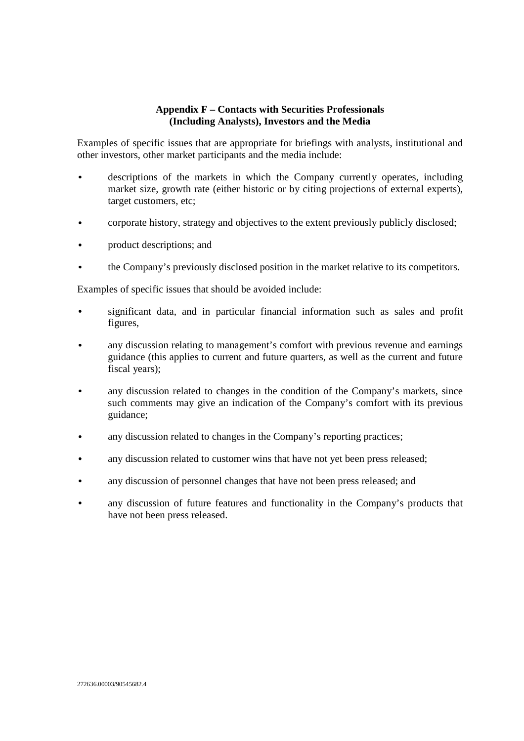## **Appendix F – Contacts with Securities Professionals (Including Analysts), Investors and the Media**

Examples of specific issues that are appropriate for briefings with analysts, institutional and other investors, other market participants and the media include:

- descriptions of the markets in which the Company currently operates, including market size, growth rate (either historic or by citing projections of external experts), target customers, etc;
- corporate history, strategy and objectives to the extent previously publicly disclosed;
- product descriptions; and
- the Company's previously disclosed position in the market relative to its competitors.

Examples of specific issues that should be avoided include:

- significant data, and in particular financial information such as sales and profit figures,
- any discussion relating to management's comfort with previous revenue and earnings guidance (this applies to current and future quarters, as well as the current and future fiscal years);
- any discussion related to changes in the condition of the Company's markets, since such comments may give an indication of the Company's comfort with its previous guidance;
- any discussion related to changes in the Company's reporting practices;
- any discussion related to customer wins that have not yet been press released;
- any discussion of personnel changes that have not been press released; and
- any discussion of future features and functionality in the Company's products that have not been press released.